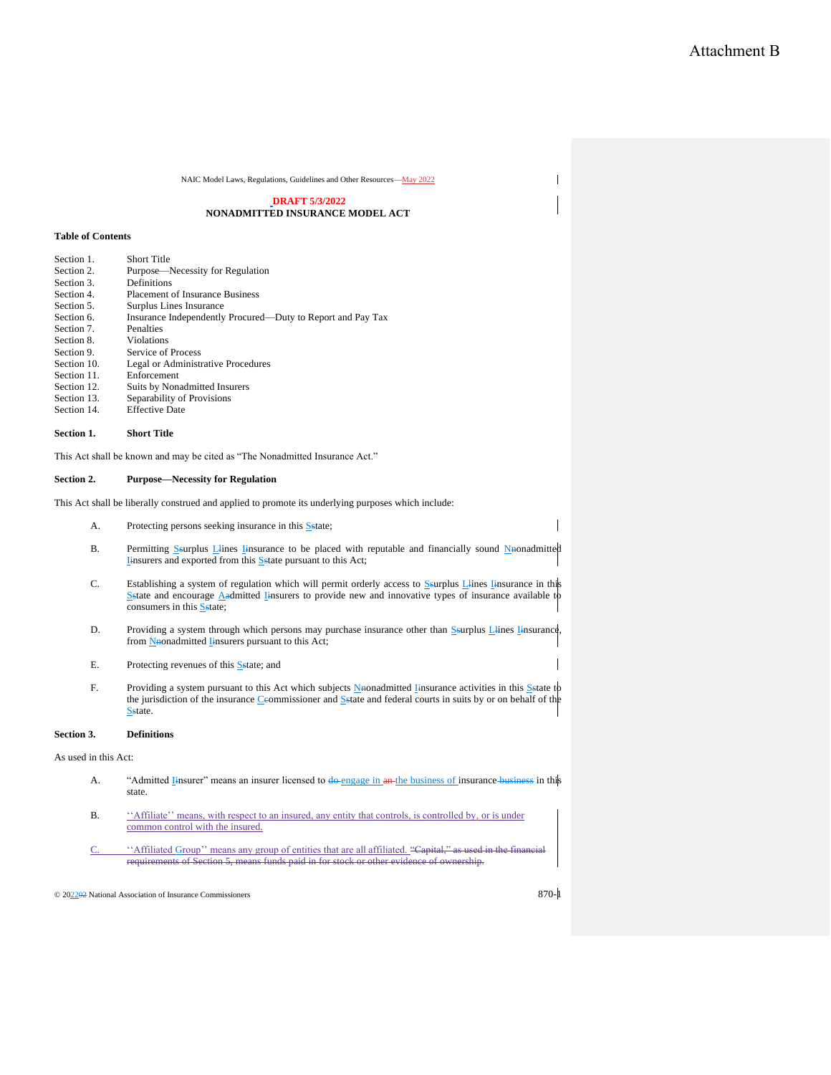# **DRAFT 5/3/2022 NONADMITTED INSURANCE MODEL ACT**

## **Table of Contents**

| Section 1.  | <b>Short Title</b>                                          |
|-------------|-------------------------------------------------------------|
| Section 2.  | Purpose—Necessity for Regulation                            |
| Section 3.  | Definitions                                                 |
| Section 4.  | <b>Placement of Insurance Business</b>                      |
| Section 5.  | Surplus Lines Insurance                                     |
| Section 6.  | Insurance Independently Procured—Duty to Report and Pay Tax |
| Section 7.  | Penalties                                                   |
| Section 8.  | <b>Violations</b>                                           |
| Section 9.  | Service of Process                                          |
| Section 10. | Legal or Administrative Procedures                          |
| Section 11. | Enforcement                                                 |
| Section 12. | Suits by Nonadmitted Insurers                               |
| Section 13. | Separability of Provisions                                  |
| Section 14. | <b>Effective Date</b>                                       |
|             |                                                             |

# **Section 1. Short Title**

This Act shall be known and may be cited as "The Nonadmitted Insurance Act."

### **Section 2. Purpose—Necessity for Regulation**

This Act shall be liberally construed and applied to promote its underlying purposes which include:

- A. Protecting persons seeking insurance in this S<sub>state</sub>;
- B. Permitting Surplus Lines Insurance to be placed with reputable and financially sound Neonadmitted Iinsurers and exported from this Sstate pursuant to this Act;
- C. Establishing a system of regulation which will permit orderly access to Ssurplus Llines Insurance in this Sstate and encourage Aadmitted Insurers to provide new and innovative types of insurance available to consumers in this **S**state;
- D. Providing a system through which persons may purchase insurance other than Ssurplus Llines Linsurance from **N**nonadmitted **I**insurers pursuant to this Act;
- E. Protecting revenues of this  $S<sub>s</sub>$  state; and
- F. Providing a system pursuant to this Act which subjects Nonnadmitted Insurance activities in this Sstate to the jurisdiction of the insurance Ceommissioner and Sstate and federal courts in suits by or on behalf of the Sstate.

### **Section 3. Definitions**

As used in this Act:

- A. "Admitted Iinsurer" means an insurer licensed to do engage in an the business of insurance business in this state.
- B. ''Affiliate'' means, with respect to an insured, any entity that controls, is controlled by, or is under common control with the insured.
- C. ''Affiliated Group'' means any group of entities that are all affiliated. "Capital," as used in the financial requirements of Section 5, means funds paid in for stock or other evidence of ownership.

© 202202 National Association of Insurance Commissioners 870-1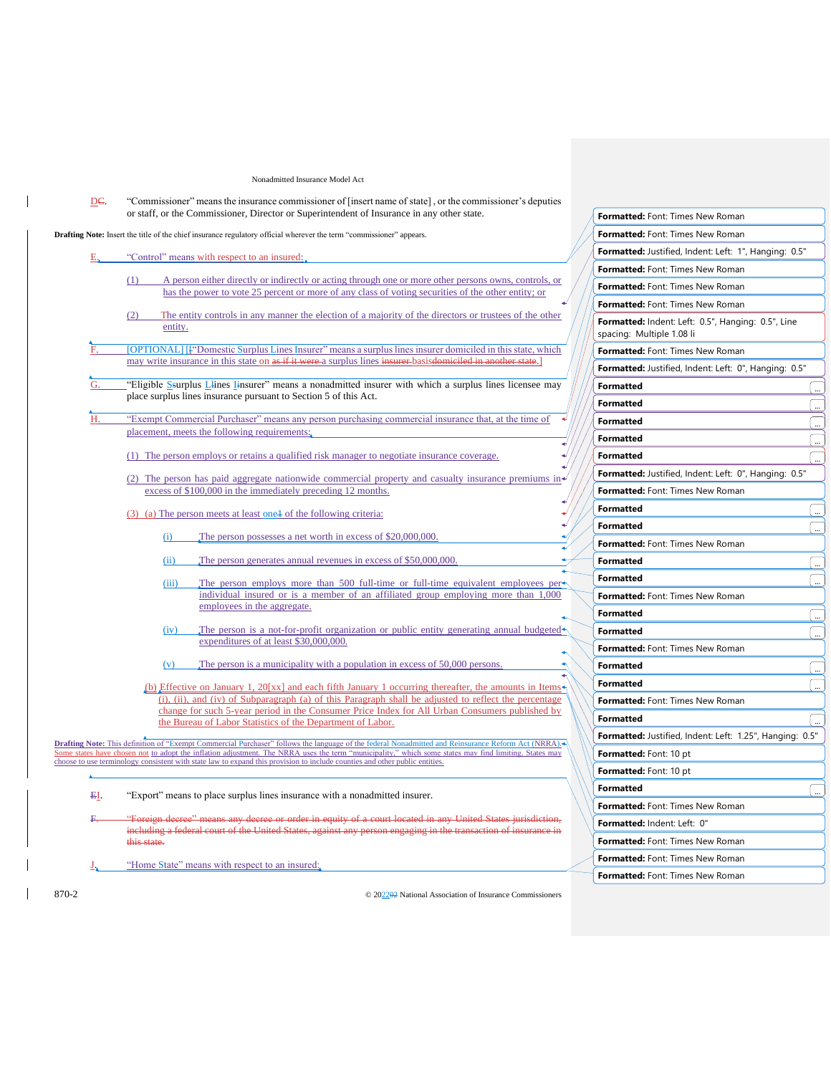DC. "Commissioner" means the insurance commissioner of [insert name of state], or the commissioner's deputies or staff, or the Commissioner, Director or Superintendent of Insurance in any other state.

**Drafting Note:** Insert the title of the chief insurance regulatory official wherever the term "commissioner" appears.

| $E_{\alpha}$ | "Control" means with respect to an insured:                                                                                                                                                                                                                                                                 | Format           |
|--------------|-------------------------------------------------------------------------------------------------------------------------------------------------------------------------------------------------------------------------------------------------------------------------------------------------------------|------------------|
|              |                                                                                                                                                                                                                                                                                                             | Format           |
|              | A person either directly or indirectly or acting through one or more other persons owns, controls, or<br>(1)<br>has the power to vote 25 percent or more of any class of voting securities of the other entity; or                                                                                          | Format           |
|              |                                                                                                                                                                                                                                                                                                             | Format           |
|              | The entity controls in any manner the election of a majority of the directors or trustees of the other<br>(2)                                                                                                                                                                                               | Format           |
|              | entity.                                                                                                                                                                                                                                                                                                     | spacing          |
| F.           | [OPTIONAL] [["Domestic Surplus Lines Insurer" means a surplus lines insurer domiciled in this state, which                                                                                                                                                                                                  | Format           |
|              | may write insurance in this state on as if it were a surplus lines insurer-basis domiciled in another state.                                                                                                                                                                                                | Format           |
| G.           | "Eligible Ssurplus Llines Insurer" means a nonadmitted insurer with which a surplus lines licensee may                                                                                                                                                                                                      | Format           |
|              | place surplus lines insurance pursuant to Section 5 of this Act.                                                                                                                                                                                                                                            | Format           |
| H.           | "Exempt Commercial Purchaser" means any person purchasing commercial insurance that, at the time of                                                                                                                                                                                                         | Format           |
|              | placement, meets the following requirements:                                                                                                                                                                                                                                                                | Format           |
|              | (1) The person employs or retains a qualified risk manager to negotiate insurance coverage.                                                                                                                                                                                                                 | Format           |
|              |                                                                                                                                                                                                                                                                                                             | Format           |
|              | (2) The person has paid aggregate nationwide commercial property and casualty insurance premiums in<br>excess of \$100,000 in the immediately preceding 12 months.                                                                                                                                          | Format           |
|              |                                                                                                                                                                                                                                                                                                             |                  |
|              | (3) (a) The person meets at least one 4 of the following criteria:                                                                                                                                                                                                                                          | Format           |
|              | The person possesses a net worth in excess of \$20,000,000.<br>(i)                                                                                                                                                                                                                                          | Format           |
|              |                                                                                                                                                                                                                                                                                                             | Format           |
|              | The person generates annual revenues in excess of \$50,000,000.<br>(ii)                                                                                                                                                                                                                                     | Format           |
|              | The person employs more than 500 full-time or full-time equivalent employees per<br>(iii)                                                                                                                                                                                                                   | Format           |
|              | individual insured or is a member of an affiliated group employing more than 1,000<br>employees in the aggregate.                                                                                                                                                                                           | Format           |
|              |                                                                                                                                                                                                                                                                                                             | Format           |
|              | The person is a not-for-profit organization or public entity generating annual budgeted<br>(iv)<br>expenditures of at least \$30,000,000.                                                                                                                                                                   | Format           |
|              |                                                                                                                                                                                                                                                                                                             | Format           |
|              | The person is a municipality with a population in excess of 50,000 persons.<br>(v)<br>٠                                                                                                                                                                                                                     | Format           |
|              | (b) Effective on January 1, 20[xx] and each fifth January 1 occurring thereafter, the amounts in Items $\bullet$                                                                                                                                                                                            | Format           |
|              | (i), (ii), and (iv) of Subparagraph (a) of this Paragraph shall be adjusted to reflect the percentage                                                                                                                                                                                                       | Format           |
|              | change for such 5-year period in the Consumer Price Index for All Urban Consumers published by<br>the Bureau of Labor Statistics of the Department of Labor.                                                                                                                                                | Format           |
|              |                                                                                                                                                                                                                                                                                                             | Format           |
|              | Drafting Note: This definition of "Exempt Commercial Purchaser" follows the language of the federal Nonadmitted and Reinsurance Reform Act (NRRA).<br>Some states have chosen not to adopt the inflation adjustment. The NRRA uses the term "municipality," which some states may find limiting. States may | Format           |
|              | choose to use terminology consistent with state law to expand this provision to include counties and other public entities.                                                                                                                                                                                 | Format           |
|              |                                                                                                                                                                                                                                                                                                             | Format           |
| EI.          | "Export" means to place surplus lines insurance with a nonadmitted insurer.                                                                                                                                                                                                                                 | Format           |
| F.,          | "Foreign decree" means any decree or order in equity of a court located in any United States jurisdiction,                                                                                                                                                                                                  |                  |
|              | including a federal court of the United States, against any person engaging in the transaction of insurance in                                                                                                                                                                                              | Format           |
|              | this state.                                                                                                                                                                                                                                                                                                 | Format           |
| ī.           | "Home State" means with respect to an insured:                                                                                                                                                                                                                                                              | Format<br>Engmat |
|              |                                                                                                                                                                                                                                                                                                             |                  |

**Formatted:** Font: Times New Roman **Formatted:** Font: Times New Roman **Formatted:** Justified, Indent: Left: 1", Hanging: 0.5" **fted:** Font: Times New Roman **fted:** Font: Times New Roman **fted:** Font: Times New Roman **Formatted:** Indent: Left: 0.5", Hanging: 0.5", Line : Multiple 1.08 li **fted:** Font: Times New Roman **Formatted:** Justified, Indent: Left: 0", Hanging: 0.5" **Formatted** ... **Formatted** ... **Formatted** ... **Formatted** ... **Formatted** ... **Formatted:** Justified, Indent: Left: 0", Hanging: 0.5" **fted:** Font: Times New Roman **Formatted** ... **Formatted** ... **fted:** Font: Times New Roman **Formatted** ... **Formatted** ... **Formatted:** Font: Times New Roman **Formatted** ... **Formatted** ... **fted:** Font: Times New Roman **Formatted** ... **Formatted** ... **fted:** Font: Times New Roman **Formatted** ... **Formatted:** Justified, Indent: Left: 1.25", Hanging: 0.5" **Formatted:** Font: 10 pt **Formatted** ... **Formatted:** Font: 10 pt **fted:** Font: Times New Roman **Formatted:** Indent: Left: 0" **fted:** Font: Times New Roman **fed:** Font: Times New Roman **Formatted:** Font: Times New Roman

870-2 © 202202 National Association of Insurance Commissioners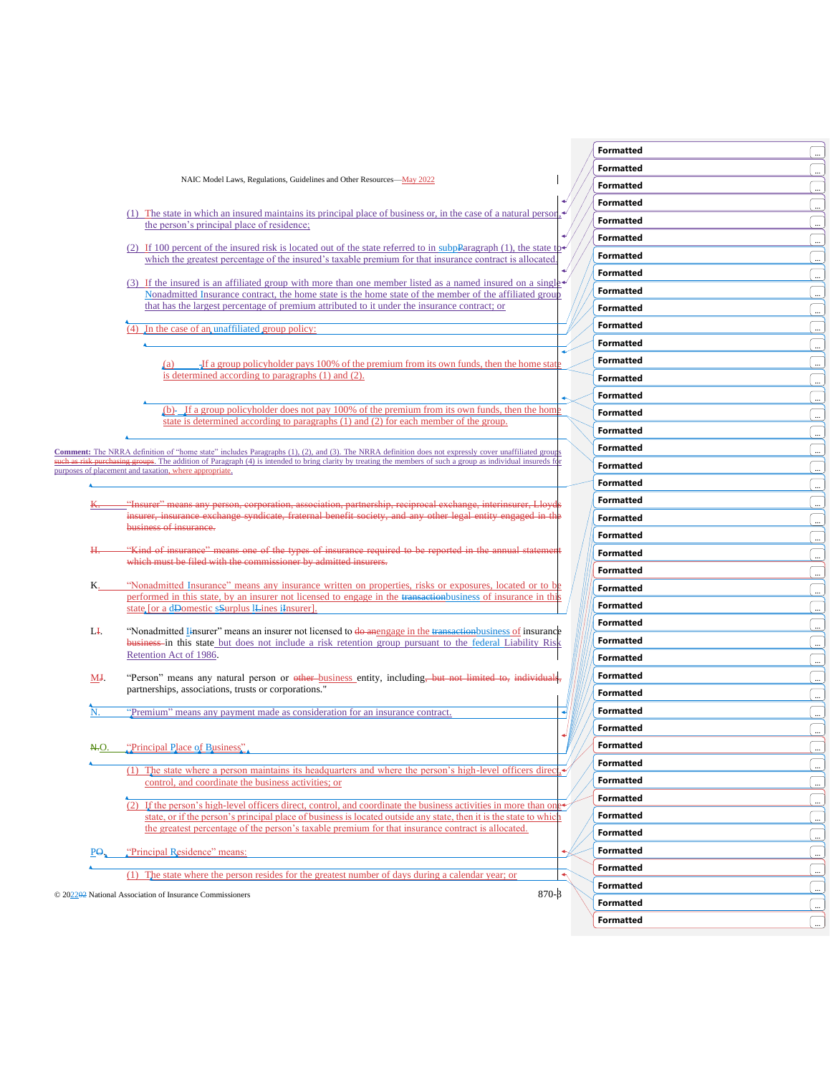|             |                                                                                                                                                                                                                              | <b>Formatted</b> |           |
|-------------|------------------------------------------------------------------------------------------------------------------------------------------------------------------------------------------------------------------------------|------------------|-----------|
|             |                                                                                                                                                                                                                              | <b>Formatted</b> |           |
|             | NAIC Model Laws, Regulations, Guidelines and Other Resources-May 2022                                                                                                                                                        | <b>Formatted</b> |           |
|             |                                                                                                                                                                                                                              | <b>Formatted</b> |           |
|             | (1) The state in which an insured maintains its principal place of business or, in the case of a natural person<br>the person's principal place of residence;                                                                | <b>Formatted</b> |           |
|             |                                                                                                                                                                                                                              | <b>Formatted</b> |           |
|             | (2) If 100 percent of the insured risk is located out of the state referred to in subpParagraph (1), the state to<br>which the greatest percentage of the insured's taxable premium for that insurance contract is allocated | <b>Formatted</b> |           |
|             |                                                                                                                                                                                                                              | <b>Formatted</b> | $\ddotsc$ |
|             | (3) If the insured is an affiliated group with more than one member listed as a named insured on a single<br>Nonadmitted Insurance contract, the home state is the home state of the member of the affiliated group          | <b>Formatted</b> |           |
|             | that has the largest percentage of premium attributed to it under the insurance contract; or                                                                                                                                 | <b>Formatted</b> |           |
|             | $(4)$ In the case of an unaffiliated group policy:                                                                                                                                                                           | <b>Formatted</b> | $\ddotsc$ |
|             |                                                                                                                                                                                                                              | <b>Formatted</b> | $\ddotsc$ |
|             | -If a group policyholder pays 100% of the premium from its own funds, then the home stat<br>(a)                                                                                                                              | <b>Formatted</b> |           |
|             | is determined according to paragraphs $(1)$ and $(2)$ .                                                                                                                                                                      | <b>Formatted</b> |           |
|             |                                                                                                                                                                                                                              | <b>Formatted</b> |           |
|             | (b) If a group policyholder does not pay 100% of the premium from its own funds, then the hom                                                                                                                                | <b>Formatted</b> | $\ddotsc$ |
|             | state is determined according to paragraphs (1) and (2) for each member of the group.                                                                                                                                        | <b>Formatted</b> |           |
|             | Comment: The NRRA definition of "home state" includes Paragraphs (1), (2), and (3). The NRRA definition does not expressly cover unaffiliated groups                                                                         | <b>Formatted</b> |           |
|             | such as risk purchasing groups. The addition of Paragraph (4) is intended to bring clarity by treating the members of such a group as individual insureds for<br>purposes of placement and taxation, where appropriate.      | <b>Formatted</b> | $\ddotsc$ |
|             |                                                                                                                                                                                                                              | <b>Formatted</b> |           |
|             | "Insurer" means any person, corporation, association, partnership, reciprocal exchange, interinsurer, Lloyde                                                                                                                 | <b>Formatted</b> |           |
|             | insurer, insurance exchange syndicate, fraternal benefit society, and any other legal entity engaged in the                                                                                                                  | <b>Formatted</b> |           |
|             | business of insurance.                                                                                                                                                                                                       | <b>Formatted</b> |           |
| H.          | "Kind of insurance" means one of the types of insurance required to be reported in the annual statement                                                                                                                      | <b>Formatted</b> | $\ddotsc$ |
|             | which must be filed with the commissioner by admitted insurers.                                                                                                                                                              | <b>Formatted</b> |           |
| Κ.          | "Nonadmitted Insurance" means any insurance written on properties, risks or exposures, located or to be<br>performed in this state, by an insurer not licensed to engage in the transaction business of insurance in this    | <b>Formatted</b> |           |
|             | state [or a d <del>D</del> omestic sSurplus lLines iInsurer].                                                                                                                                                                | <b>Formatted</b> |           |
|             |                                                                                                                                                                                                                              | <b>Formatted</b> |           |
| $_{\rm L}$  | "Nonadmitted Linsurer" means an insurer not licensed to do anongage in the transaction business of insurance<br>business in this state but does not include a risk retention group pursuant to the federal Liability Risk    | <b>Formatted</b> | $\ddotsc$ |
|             | Retention Act of 1986.                                                                                                                                                                                                       | <b>Formatted</b> |           |
| MJ.         | "Person" means any natural person or other-business entity, including, but not limited to, individuals,                                                                                                                      | <b>Formatted</b> |           |
|             | partnerships, associations, trusts or corporations."                                                                                                                                                                         | <b>Formatted</b> |           |
| N.          | "Premium" means any payment made as consideration for an insurance contract.                                                                                                                                                 | <b>Formatted</b> |           |
|             |                                                                                                                                                                                                                              | <b>Formatted</b> |           |
| <u>N.O.</u> | "Principal Place of Business"                                                                                                                                                                                                | <b>Formatted</b> |           |
|             | (1) The state where a person maintains its headquarters and where the person's high-level officers direction-                                                                                                                | <b>Formatted</b> |           |
|             | control, and coordinate the business activities; or                                                                                                                                                                          | <b>Formatted</b> |           |
|             | (2) If the person's high-level officers direct, control, and coordinate the business activities in more than or                                                                                                              | <b>Formatted</b> |           |
|             | state, or if the person's principal place of business is located outside any state, then it is the state to which                                                                                                            | <b>Formatted</b> | $\ldots$  |
|             | the greatest percentage of the person's taxable premium for that insurance contract is allocated.                                                                                                                            | Formatted        |           |
| $P\Theta$ , | "Principal Residence" means:                                                                                                                                                                                                 | <b>Formatted</b> |           |
|             | (1) The state where the person resides for the greatest number of days during a calendar year; or                                                                                                                            | Formatted        | $\ddotsc$ |
|             | 870-3<br>© 202202 National Association of Insurance Commissioners                                                                                                                                                            | Formatted        |           |
|             |                                                                                                                                                                                                                              | Formatted        | $\ddotsc$ |
|             |                                                                                                                                                                                                                              | Formatted        | $\ddotsc$ |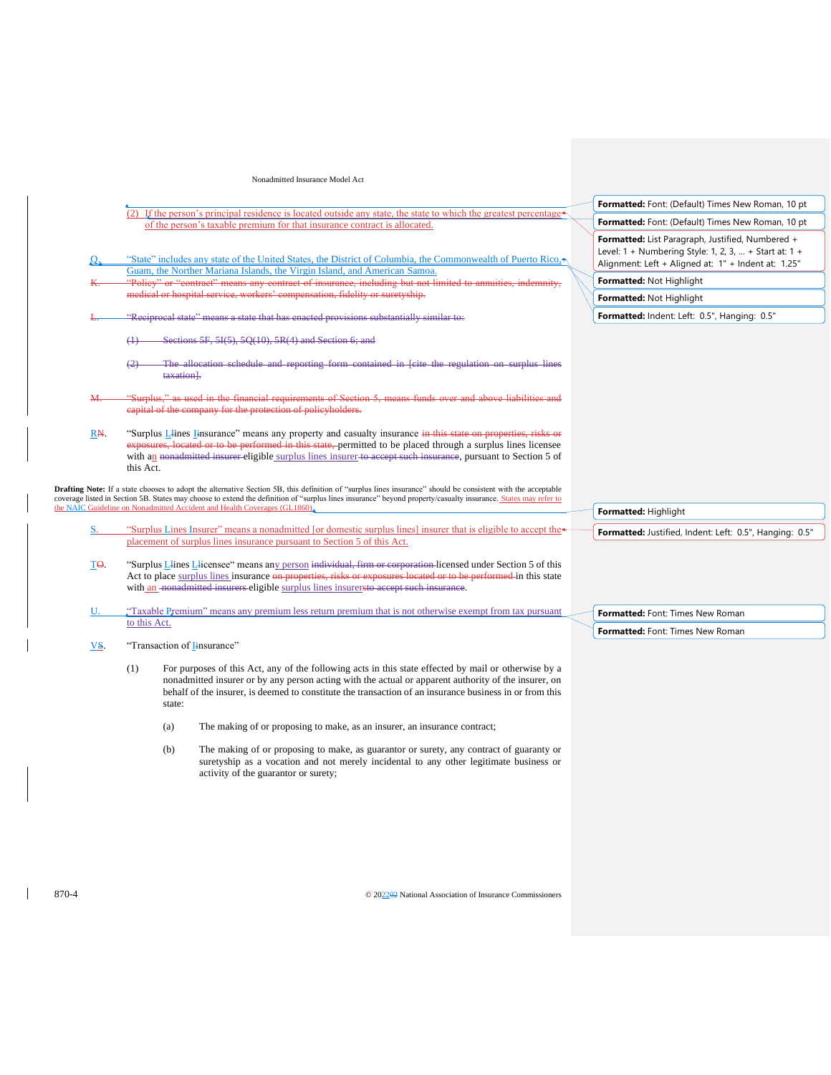activity of the guarantor or surety;

|             |                                                                                                                                                                                                                                                                                                                                                                                                             | Formatte             |
|-------------|-------------------------------------------------------------------------------------------------------------------------------------------------------------------------------------------------------------------------------------------------------------------------------------------------------------------------------------------------------------------------------------------------------------|----------------------|
|             | (2) If the person's principal residence is located outside any state, the state to which the greatest percentage<br>of the person's taxable premium for that insurance contract is allocated.                                                                                                                                                                                                               | Formatte             |
|             |                                                                                                                                                                                                                                                                                                                                                                                                             | Formatte             |
|             |                                                                                                                                                                                                                                                                                                                                                                                                             | Level: $1 +$         |
| $\Omega$    | "State" includes any state of the United States, the District of Columbia, the Commonwealth of Puerto Rico,<br>Guam, the Norther Mariana Islands, the Virgin Island, and American Samoa.                                                                                                                                                                                                                    | Alignmen             |
| K.          | "Policy" or "contract" means any contract of insurance, including but not limited to annuities, indemnity,                                                                                                                                                                                                                                                                                                  | Formatte             |
|             | medical or hospital service, workers' compensation, fidelity or suretyship.                                                                                                                                                                                                                                                                                                                                 | Formatte             |
| Ь.          | "Reciprocal state" means a state that has enacted provisions substantially similar to:                                                                                                                                                                                                                                                                                                                      | Formatte             |
|             | Sections $5F$ , $5I(5)$ , $5Q(10)$ , $5R(4)$ and Section 6; and<br>(1)                                                                                                                                                                                                                                                                                                                                      |                      |
|             | The allocation schedule and reporting form contained in [cite the regulation on surplus lines<br>(2)<br>taxation].                                                                                                                                                                                                                                                                                          |                      |
| М.          | "Surplus," as used in the financial requirements of Section 5, means funds over and above liabilities and<br>capital of the company for the protection of policyholders.                                                                                                                                                                                                                                    |                      |
| RN.         | "Surplus Llines Iinsurance" means any property and casualty insurance in this state on properties, risks or<br>exposures, located or to be performed in this state, permitted to be placed through a surplus lines licensee<br>with an nonadmitted insurer eligible surplus lines insurer to accept such insurance, pursuant to Section 5 of<br>this Act.                                                   |                      |
|             | Drafting Note: If a state chooses to adopt the alternative Section 5B, this definition of "surplus lines insurance" should be consistent with the acceptable<br>coverage listed in Section 5B. States may choose to extend the definition of "surplus lines insurance" beyond property/casualty insurance. States may refer to<br>the NAIC Guideline on Nonadmitted Accident and Health Coverages (GL1860). | <b>Formatte</b>      |
| S.          | "Surplus Lines Insurer" means a nonadmitted [or domestic surplus lines] insurer that is eligible to accept the                                                                                                                                                                                                                                                                                              |                      |
|             | placement of surplus lines insurance pursuant to Section 5 of this Act.                                                                                                                                                                                                                                                                                                                                     | Formatte             |
| TO.         | "Surplus Llines Licensee" means any person individual, firm or corporation-licensed under Section 5 of this                                                                                                                                                                                                                                                                                                 |                      |
|             | Act to place surplus lines insurance on properties, risks or exposures located or to be performed in this state<br>with an nonadmitted insurers eligible surplus lines insurersto accept such insurance.                                                                                                                                                                                                    |                      |
| U.          | "Taxable Premium" means any premium less return premium that is not otherwise exempt from tax pursuant                                                                                                                                                                                                                                                                                                      |                      |
|             | to this Act.                                                                                                                                                                                                                                                                                                                                                                                                |                      |
|             | "Transaction of linsurance"                                                                                                                                                                                                                                                                                                                                                                                 |                      |
| <u>VS</u> . | (1)<br>For purposes of this Act, any of the following acts in this state effected by mail or otherwise by a<br>nonadmitted insurer or by any person acting with the actual or apparent authority of the insurer, on<br>behalf of the insurer, is deemed to constitute the transaction of an insurance business in or from this<br>state:                                                                    |                      |
|             | The making of or proposing to make, as an insurer, an insurance contract;<br>(a)                                                                                                                                                                                                                                                                                                                            | Formatte<br>Formatte |

**ed:** Font: (Default) Times New Roman, 10 pt **ed:** List Paragraph, Justified, Numbered + Level: 1 + Numbering Style: 1, 2, 3, … + Start at: 1 + Alignment: Left + Aligned at: 1" + Indent at: 1.25" **ed:** Font: (Default) Times New Roman, 10 pt

**Formatted:** Not Highlight

**Formatted:** Not Highlight

**ed:** Indent: Left: 0.5", Hanging: 0.5"

**ed:** Highlight **Formatted:** Justified, Indent: Left: 0.5", Hanging: 0.5"

**ed:** Font: Times New Roman **ed:** Font: Times New Roman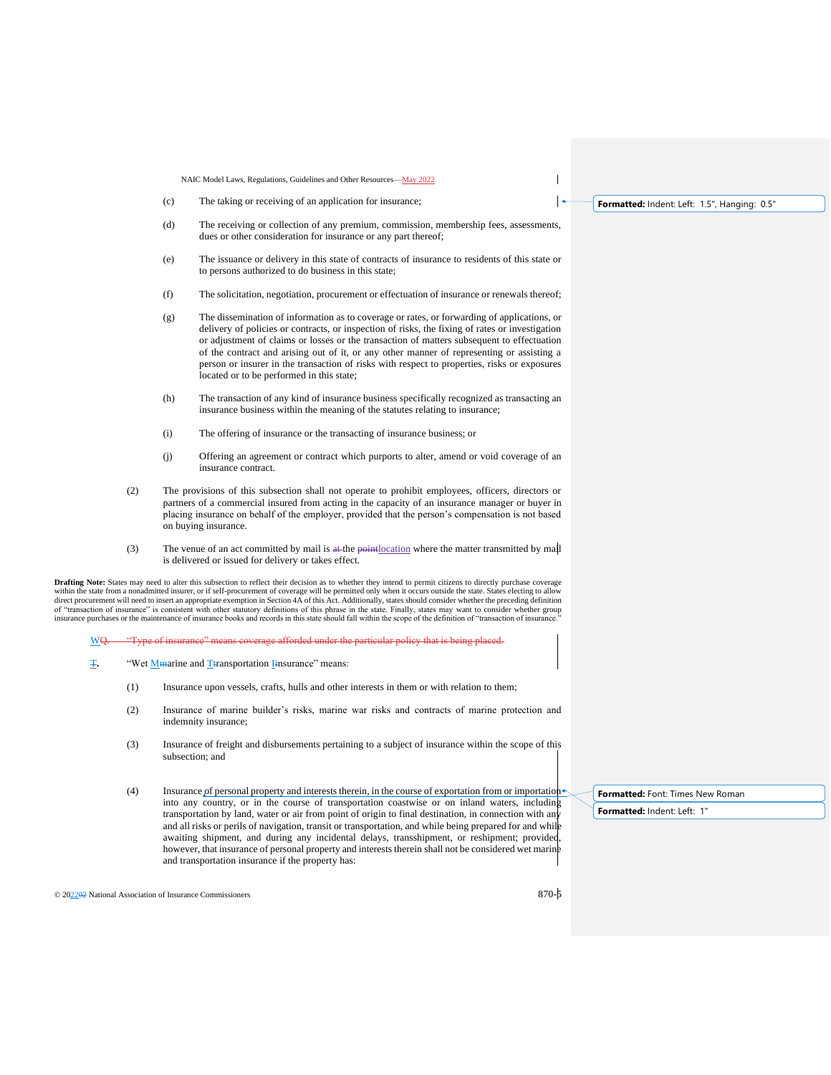- (c) The taking or receiving of an application for insurance;
- (d) The receiving or collection of any premium, commission, membership fees, assessments, dues or other consideration for insurance or any part thereof;
- (e) The issuance or delivery in this state of contracts of insurance to residents of this state or to persons authorized to do business in this state;
- (f) The solicitation, negotiation, procurement or effectuation of insurance or renewals thereof;
- (g) The dissemination of information as to coverage or rates, or forwarding of applications, or delivery of policies or contracts, or inspection of risks, the fixing of rates or investigation or adjustment of claims or losses or the transaction of matters subsequent to effectuation of the contract and arising out of it, or any other manner of representing or assisting a person or insurer in the transaction of risks with respect to properties, risks or exposures located or to be performed in this state;
- (h) The transaction of any kind of insurance business specifically recognized as transacting an insurance business within the meaning of the statutes relating to insurance;
- (i) The offering of insurance or the transacting of insurance business; or
- (j) Offering an agreement or contract which purports to alter, amend or void coverage of an insurance contract.
- (2) The provisions of this subsection shall not operate to prohibit employees, officers, directors or partners of a commercial insured from acting in the capacity of an insurance manager or buyer in placing insurance on behalf of the employer, provided that the person's compensation is not based on buying insurance.
- (3) The venue of an act committed by mail is at the pointlocation where the matter transmitted by mail is delivered or issued for delivery or takes effect.

Drafting Note: States may need to alter this subsection to reflect their decision as to whether they intend to permit citizens to directly purchase coverage<br>within the state from a nonadmitted insurer, or if self-procureme direct procurement will need to insert an appropriate exemption in Section 4A of this Act. Additionally, states should consider whether the preceding definition<br>of "transaction of insurance" is consistent with other statut insurance purchases or the maintenance of insurance books and records in this state should fall within the scope of the definition of "transaction of insur

WQ. "Type of insurance" means coverage afforded under the particular policy that is being placed.

- **T.** "Wet Mmarine and Ttransportation Insurance" means:
	- (1) Insurance upon vessels, crafts, hulls and other interests in them or with relation to them;
	- (2) Insurance of marine builder's risks, marine war risks and contracts of marine protection and indemnity insurance;
	- (3) Insurance of freight and disbursements pertaining to a subject of insurance within the scope of this subsection; and
	- (4) Insurance of personal property and interests therein, in the course of exportation from or importation into any country, or in the course of transportation coastwise or on inland waters, including transportation by land, water or air from point of origin to final destination, in connection with an and all risks or perils of navigation, transit or transportation, and while being prepared for and while awaiting shipment, and during any incidental delays, transshipment, or reshipment; provided however, that insurance of personal property and interests therein shall not be considered wet marine and transportation insurance if the property has:

**Formatted:** Font: Times New Roman

**Formatted:** Indent: Left: 1"

© 202202 National Association of Insurance Commissioners 870-5

 $\overline{\phantom{a}}$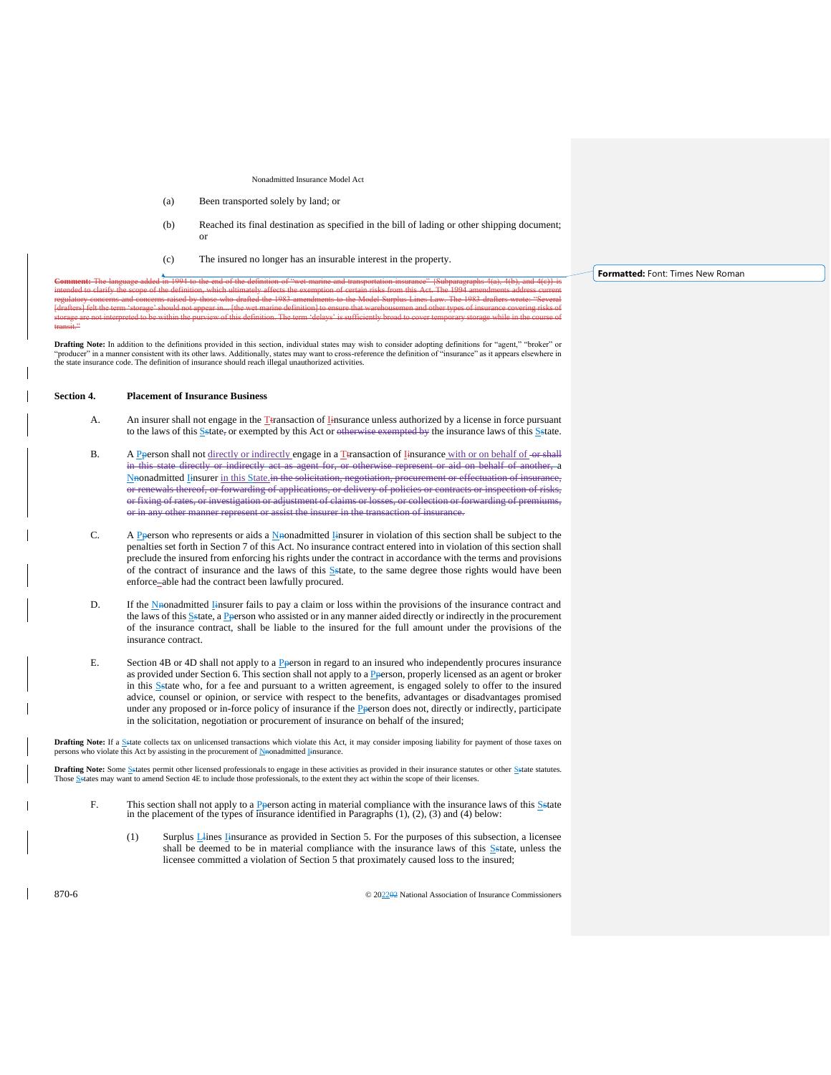(a) Been transported solely by land; or

(b) Reached its final destination as specified in the bill of lading or other shipping document; or

(c) The insured no longer has an insurable interest in the property.

**Comment:** The language added in 1994 to the end of the definition of "wet marine and transportation insurance" {Subparagraphs 4(a), 4(b), and 4(c)} is intended to clarify the scope of the definition, which ultimately affects the exemption of certain risks from this Act. The 1994 amendments address current regulatory concerns and concerns raised by those who drafted the 1983 amendments to the Model Surplus Lines Law. The 1983 drafters wrote: "Several [drafters] felt the term 'storage' should not appear in... [the wet marine definition] to ensure that warehousemen and other types of insurance covering risks of storage are not interpreted to be within the purview of this definition. The term 'delays' is sufficiently broad to cover temporary storage while in the course of transit."

**Drafting Note:** In addition to the definitions provided in this section, individual states may wish to consider adopting definitions for "agent," "broker" or "producer" in a manner consistent with its other laws. Additionally, states may want to cross-reference the definition of "insurance" as it appears elsewhere in<br>the state insurance code. The definition of insurance should

### **Section 4. Placement of Insurance Business**

- A. An insurer shall not engage in the Ttransaction of Insurance unless authorized by a license in force pursuant to the laws of this Sstate, or exempted by this Act or otherwise exempted by the insurance laws of this Sstate.
- B. A Pperson shall not directly or indirectly engage in a Ttransaction of Iinsurance with or on behalf of or shall in this state directly or indirectly act as agent for, or otherwise represent or aid on behalf of another, a Nnonadmitted Iinsurer in this State.in the solicitation, negotiation, procurement or effectuation of insurance, or renewals thereof, or forwarding of applications, or delivery of policies or contracts or inspection of risks, or fixing of rates, or investigation or adjustment of claims or losses, or collection or forwarding of premiums, or in any other manner represent or assist the insurer in the transaction of insurance.
- C. A Pperson who represents or aids a Nnonadmitted Insurer in violation of this section shall be subject to the penalties set forth in Section 7 of this Act. No insurance contract entered into in violation of this section shall preclude the insured from enforcing his rights under the contract in accordance with the terms and provisions of the contract of insurance and the laws of this Sstate, to the same degree those rights would have been  $entforce\_able$  had the contract been lawfully procured.
- D. If the N<sub>n</sub>onadmitted Insurer fails to pay a claim or loss within the provisions of the insurance contract and the laws of this Sstate, a Pperson who assisted or in any manner aided directly or indirectly in the procurement of the insurance contract, shall be liable to the insured for the full amount under the provisions of the insurance contract.
- E. Section 4B or 4D shall not apply to a Pperson in regard to an insured who independently procures insurance as provided under Section 6. This section shall not apply to a Pperson, properly licensed as an agent or broker in this Sstate who, for a fee and pursuant to a written agreement, is engaged solely to offer to the insured advice, counsel or opinion, or service with respect to the benefits, advantages or disadvantages promised under any proposed or in-force policy of insurance if the Pperson does not, directly or indirectly, participate in the solicitation, negotiation or procurement of insurance on behalf of the insured;

**Drafting Note:** If a S<sub>state</sub> collects tax on unlicensed transactions which violate this Act, it may consider imposing liability for payment of those taxes on persons who violate this Act by assisting in the procurement of Nnonadmitted Insurance

**Drafting Note:** Some S<sub>5</sub>states permit other licensed professionals to engage in these activities as provided in their insurance statutes or other S<sub>5</sub>state statutes.<br>Those S<sub>5</sub>states may want to amend Section 4E to inclu

- F. This section shall not apply to a P-person acting in material compliance with the insurance laws of this  $S<sub>5</sub>$  state in the placement of the types of insurance identified in Paragraphs (1), (2), (3) and (4) below:
	- (1) Surplus Llines Iinsurance as provided in Section 5. For the purposes of this subsection, a licensee shall be deemed to be in material compliance with the insurance laws of this Sstate, unless the licensee committed a violation of Section 5 that proximately caused loss to the insured;

870-6 © 202202 National Association of Insurance Commissioners

**Formatted:** Font: Times New Roman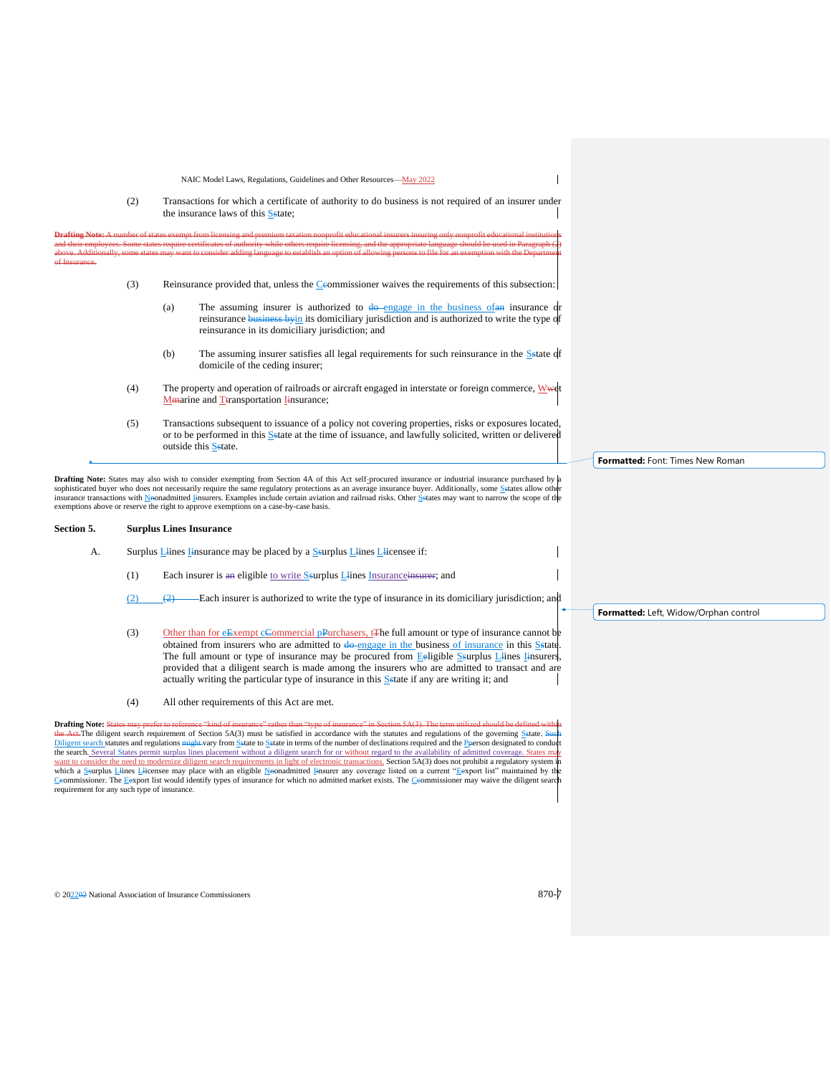(2) Transactions for which a certificate of authority to do business is not required of an insurer under the insurance laws of this  $S<sub>st</sub>$  state;

| of Insurance. |     | Drafting Note: A number of states exempt from licensing and premium taxation nonprofit educational insurers insuring only nonprofit educational institutions<br>and their employees. Some states require certificates of authority while others require licensing, and the appropriate language should be used in Paragraph (4)<br>above. Additionally, some states may want to consider adding language to establish an option of allowing persons to file for an exemption with the Department                                                                          |                                         |
|---------------|-----|---------------------------------------------------------------------------------------------------------------------------------------------------------------------------------------------------------------------------------------------------------------------------------------------------------------------------------------------------------------------------------------------------------------------------------------------------------------------------------------------------------------------------------------------------------------------------|-----------------------------------------|
|               | (3) | Reinsurance provided that, unless the Ceommissioner waives the requirements of this subsection:                                                                                                                                                                                                                                                                                                                                                                                                                                                                           |                                         |
|               |     | The assuming insurer is authorized to $d\theta$ -engage in the business of a insurance or<br>(a)<br>reinsurance business byin its domiciliary jurisdiction and is authorized to write the type df<br>reinsurance in its domiciliary jurisdiction; and                                                                                                                                                                                                                                                                                                                     |                                         |
|               |     | The assuming insurer satisfies all legal requirements for such reinsurance in the Sstate of<br>(b)<br>domicile of the ceding insurer;                                                                                                                                                                                                                                                                                                                                                                                                                                     |                                         |
|               | (4) | The property and operation of railroads or aircraft engaged in interstate or foreign commerce, Wwet<br>Mmarine and Ttransportation Iinsurance;                                                                                                                                                                                                                                                                                                                                                                                                                            |                                         |
|               | (5) | Transactions subsequent to issuance of a policy not covering properties, risks or exposures located,<br>or to be performed in this Sstate at the time of issuance, and lawfully solicited, written or delivered<br>outside this Sstate.                                                                                                                                                                                                                                                                                                                                   |                                         |
|               |     |                                                                                                                                                                                                                                                                                                                                                                                                                                                                                                                                                                           | <b>Formatted:</b> Font: Times New Roman |
|               |     | Drafting Note: States may also wish to consider exempting from Section 4A of this Act self-procured insurance or industrial insurance purchased by a<br>sophisticated buyer who does not necessarily require the same regulatory protections as an average insurance buyer. Additionally, some Setates allow other<br>insurance transactions with Neonadmitted Linsurers. Examples include certain aviation and railroad risks. Other Setates may want to narrow the scope of the<br>exemptions above or reserve the right to approve exemptions on a case-by-case basis. |                                         |
| Section 5.    |     | <b>Surplus Lines Insurance</b>                                                                                                                                                                                                                                                                                                                                                                                                                                                                                                                                            |                                         |
| А.            |     | Surplus Lines Insurance may be placed by a Ssurplus Lines Lines if:                                                                                                                                                                                                                                                                                                                                                                                                                                                                                                       |                                         |

A. Surplus Lines Insurance may be placed by a Surplus Lines Licensee if:

(1) Each insurer is an eligible to write  $S$ surplus Lines Insurance insurer; and

- $(2)$  Each insurer is authorized to write the type of insurance in its domiciliary jurisdiction; and
- (3) Other than for eExempt cCommercial pPurchasers, t<sub>T</sub>he full amount or type of insurance cannot be obtained from insurers who are admitted to  $\frac{d\theta}{dr}$  engage in the business of insurance in this Sstate. The full amount or type of insurance may be procured from Eeligible Ssurplus Lines Iinsurers, provided that a diligent search is made among the insurers who are admitted to transact and are actually writing the particular type of insurance in this  $S$ state if any are writing it; and
- (4) All other requirements of this Act are met.

**Drafting Note:** S Act. The diligent search requirement of Section 5A(3) must be satisfied in accordance with the statutes and regulations of the governing Sstate. Su Diligent search statutes and regulations <del>might</del> vary from Sstate to Sstate in terms of the number of declinations required and the P<sub>i</sub>person designated to conduct<br>the search. Several States permit surplus lines placement want to consider the need to modernize diligent search requirements in light of electronic transactions. Section 5A(3) does not prohibit a regulatory system in<br>which a Ssurplus Llines Llicensee may place with an eligible N Ceommissioner. The Eexport list would identify types of insurance for which no admitted market exists. The Ceommissioner may waive the diligent search **requirement** for any such type of insurance.

© 202202 National Association of Insurance Commissioners 870-7

 $\overline{\phantom{a}}$ 

**Formatted:** Left, Widow/Orphan control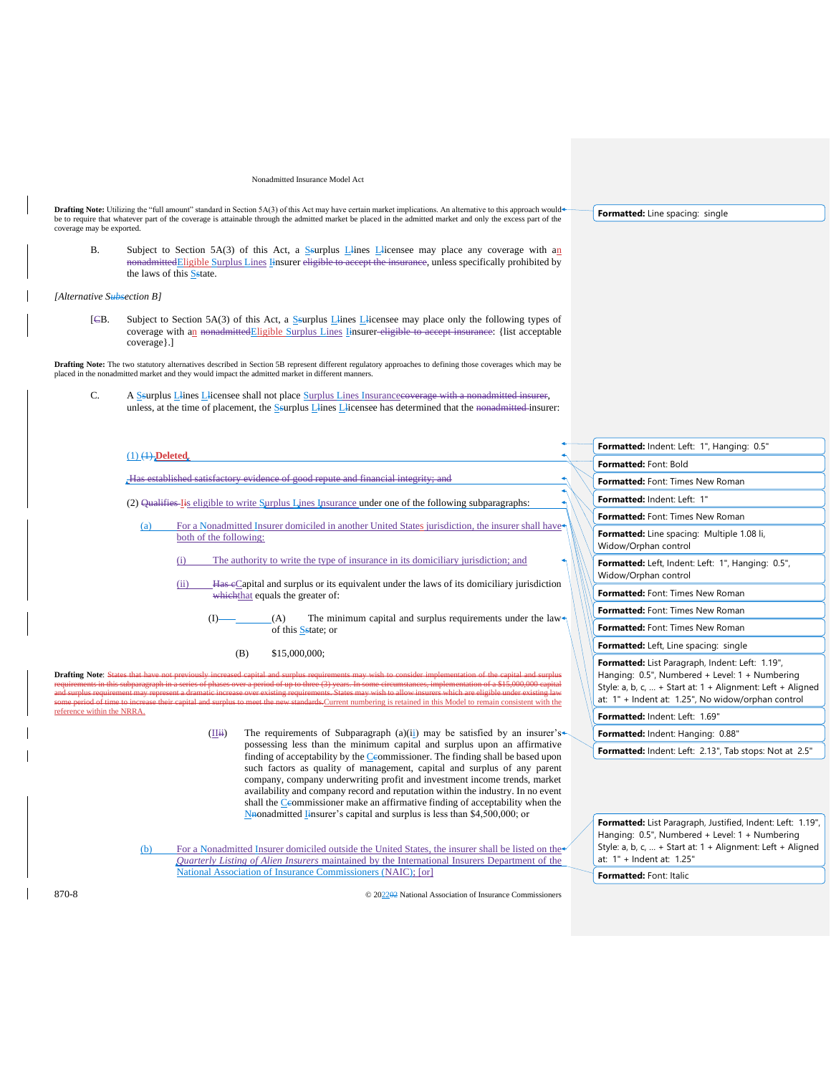**Formatted:** Line spacing: single

**Drafting Note:** Utilizing the "full amount" standard in Section 5A(3) of this Act may have certain market implications. An alternative to this approach would-<br>be to require that whatever part of the coverage is attainable coverage may be exported.

B. Subject to Section 5A(3) of this Act, a Seurplus Llines Llicensee may place any coverage with an nonadmittedEligible Surplus Lines Iinsurer eligible to accept the insurance, unless specifically prohibited by the laws of this  $S<sub>state</sub>$ .

*[Alternative Subsection B]*

[CB. Subject to Section 5A(3) of this Act, a Ssurplus Lines Licensee may place only the following types of coverage with an nonadmitted Eligible Surplus Lines Insurer eligible to accept insurance: {list acceptable coverage}.]

Drafting Note: The two statutory alternatives described in Section 5B represent different regulatory approaches to defining those coverages which may be<br>placed in the nonadmitted market and they would impact the admitted m

C. A Surplus Llines Licensee shall not place Surplus Lines Insurance coverage with a nonadmitted insurer, unless, at the time of placement, the Ssurplus Llines Lines ends determined that the nonadmitted insurer:

|                            |                                                                                                                                                                                                                                                                                                                                                                                                                                                                                                                                                                                                                                                                | Formatted: Indent: Left: 1", Hanging: 0.5"                                                                                                                                                                            |
|----------------------------|----------------------------------------------------------------------------------------------------------------------------------------------------------------------------------------------------------------------------------------------------------------------------------------------------------------------------------------------------------------------------------------------------------------------------------------------------------------------------------------------------------------------------------------------------------------------------------------------------------------------------------------------------------------|-----------------------------------------------------------------------------------------------------------------------------------------------------------------------------------------------------------------------|
| $(1)$ $(1)$ Deleted.       |                                                                                                                                                                                                                                                                                                                                                                                                                                                                                                                                                                                                                                                                | Formatted: Font: Bold                                                                                                                                                                                                 |
|                            | Has established satisfactory evidence of good repute and financial integrity; and                                                                                                                                                                                                                                                                                                                                                                                                                                                                                                                                                                              | <b>Formatted: Font: Times New Roman</b>                                                                                                                                                                               |
|                            | (2) Qualifies-I is eligible to write Surplus Lines Insurance under one of the following subparagraphs:                                                                                                                                                                                                                                                                                                                                                                                                                                                                                                                                                         | Formatted: Indent: Left: 1"                                                                                                                                                                                           |
|                            |                                                                                                                                                                                                                                                                                                                                                                                                                                                                                                                                                                                                                                                                | <b>Formatted: Font: Times New Roman</b>                                                                                                                                                                               |
| (a)                        | For a Nonadmitted Insurer domiciled in another United States jurisdiction, the insurer shall have<br>both of the following:                                                                                                                                                                                                                                                                                                                                                                                                                                                                                                                                    | Formatted: Line spacing: Multiple 1.08 li,<br>Widow/Orphan control                                                                                                                                                    |
|                            | (i)<br>The authority to write the type of insurance in its domiciliary jurisdiction; and                                                                                                                                                                                                                                                                                                                                                                                                                                                                                                                                                                       | Formatted: Left, Indent: Left: 1", Hanging: 0.5",<br>Widow/Orphan control                                                                                                                                             |
|                            | (ii)<br>Has eCapital and surplus or its equivalent under the laws of its domiciliary jurisdiction<br>which that equals the greater of:                                                                                                                                                                                                                                                                                                                                                                                                                                                                                                                         | Formatted: Font: Times New Roman                                                                                                                                                                                      |
|                            | (I)<br>(A)<br>The minimum capital and surplus requirements under the law                                                                                                                                                                                                                                                                                                                                                                                                                                                                                                                                                                                       | <b>Formatted: Font: Times New Roman</b>                                                                                                                                                                               |
|                            | of this Sstate; or                                                                                                                                                                                                                                                                                                                                                                                                                                                                                                                                                                                                                                             | <b>Formatted:</b> Font: Times New Roman                                                                                                                                                                               |
|                            | (B)<br>\$15,000,000;                                                                                                                                                                                                                                                                                                                                                                                                                                                                                                                                                                                                                                           | Formatted: Left, Line spacing: single                                                                                                                                                                                 |
|                            | Drafting Note: States that have not previously increased capital and surplus requirements may wish to consider implementation of the capital and surplus<br>requirements in this subparagraph in a series of phases over a period of up to three (3) years. In some circumstances, implementation of a \$15,000,000 capital<br>and surplus requirement may represent a dramatic increase over existing requirements. States may wish to allow insurers which are eligible under existing law<br>some period of time to increase their capital and surplus to meet the new standards. Current numbering is retained in this Model to remain consistent with the | Formatted: List Paragraph, Indent: Left: 1.19",<br>Hanging: 0.5", Numbered + Level: 1 + Numbering<br>Style: a, b, c,  + Start at: 1 + Alignment: Left + Aligned<br>at: 1" + Indent at: 1.25", No widow/orphan control |
| reference within the NRRA. |                                                                                                                                                                                                                                                                                                                                                                                                                                                                                                                                                                                                                                                                | Formatted: Indent: Left: 1.69"                                                                                                                                                                                        |
|                            | The requirements of Subparagraph (a)(ii) may be satisfied by an insurer's<br>(III <sub>H</sub> )                                                                                                                                                                                                                                                                                                                                                                                                                                                                                                                                                               | Formatted: Indent: Hanging: 0.88"                                                                                                                                                                                     |
|                            | possessing less than the minimum capital and surplus upon an affirmative<br>finding of acceptability by the Ceommissioner. The finding shall be based upon<br>such factors as quality of management, capital and surplus of any parent<br>company, company underwriting profit and investment income trends, market<br>availability and company record and reputation within the industry. In no event<br>shall the Ceommissioner make an affirmative finding of acceptability when the                                                                                                                                                                        | Formatted: Indent: Left: 2.13", Tab stops: Not at 2.5"                                                                                                                                                                |
| (b)                        | Nnonadmitted Insurer's capital and surplus is less than \$4,500,000; or<br>For a Nonadmitted Insurer domiciled outside the United States, the insurer shall be listed on the<br>Quarterly Listing of Alien Insurers maintained by the International Insurers Department of the                                                                                                                                                                                                                                                                                                                                                                                 | Formatted: List Paragraph, Justified, Indent: Left: 1.19",<br>Hanging: 0.5", Numbered + Level: 1 + Numbering<br>Style: a, b, c,  + Start at: 1 + Alignment: Left + Aligned<br>at: 1" + Indent at: 1.25"               |
|                            | National Association of Insurance Commissioners (NAIC); [or]                                                                                                                                                                                                                                                                                                                                                                                                                                                                                                                                                                                                   | Formatted: Font: Italic                                                                                                                                                                                               |
| 870-8                      | © 202202 National Association of Insurance Commissioners                                                                                                                                                                                                                                                                                                                                                                                                                                                                                                                                                                                                       |                                                                                                                                                                                                                       |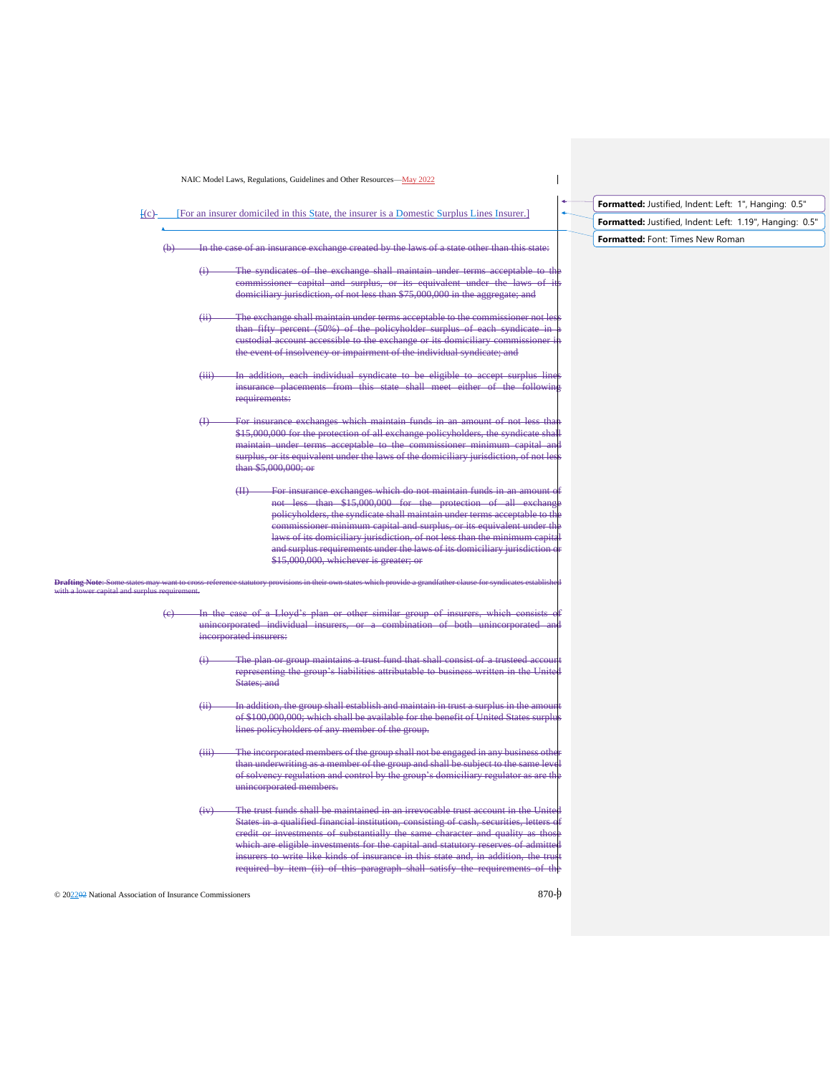| NAIC Model Laws, Regulations, Guidelines and Other Resources—May 2022 |  |  |  |
|-----------------------------------------------------------------------|--|--|--|
|-----------------------------------------------------------------------|--|--|--|

|                                               |                   |                                                                                                                                                                                                                                                                                                                                                                                                                                                                                                                             | Formatted: Justified, Indent: Left: 1", Hanging: 0.5"    |
|-----------------------------------------------|-------------------|-----------------------------------------------------------------------------------------------------------------------------------------------------------------------------------------------------------------------------------------------------------------------------------------------------------------------------------------------------------------------------------------------------------------------------------------------------------------------------------------------------------------------------|----------------------------------------------------------|
| $+(c)-$                                       |                   | [For an insurer domiciled in this State, the insurer is a Domestic Surplus Lines Insurer.]                                                                                                                                                                                                                                                                                                                                                                                                                                  | Formatted: Justified, Indent: Left: 1.19", Hanging: 0.5' |
| $\left(\mathbf{b}\right)$                     |                   | In the case of an insurance exchange created by the laws of a state other than this state:                                                                                                                                                                                                                                                                                                                                                                                                                                  | Formatted: Font: Times New Roman                         |
|                                               | $\leftrightarrow$ | The syndicates of the exchange shall maintain under terms acceptable to the<br>commissioner capital and surplus, or its equivalent under the laws of its<br>domiciliary jurisdiction, of not less than \$75,000,000 in the aggregate; and                                                                                                                                                                                                                                                                                   |                                                          |
|                                               | (ii)              | The exchange shall maintain under terms acceptable to the commissioner not less<br>than fifty percent (50%) of the policyholder surplus of each syndicate in<br>eustodial account accessible to the exchange or its domiciliary commissioner in<br>the event of insolvency or impairment of the individual syndicate; and                                                                                                                                                                                                   |                                                          |
|                                               | (n)               | In addition, each individual syndicate to be eligible to accept surplus lines<br>insurance placements from this state shall meet either of the following<br>requirements:                                                                                                                                                                                                                                                                                                                                                   |                                                          |
|                                               | $\bigoplus$       | For insurance exchanges which maintain funds in an amount of not less than<br>\$15,000,000 for the protection of all exchange policyholders, the syndicate shall<br>maintain under terms acceptable to the commissioner minimum capital and<br>surplus, or its equivalent under the laws of the domiciliary jurisdiction, of not less<br>than \$5,000,000; or                                                                                                                                                               |                                                          |
|                                               |                   | For insurance exchanges which do not maintain funds in an amount of<br>(H)<br>not less than \$15,000,000 for the protection of all exchang<br>policyholders, the syndicate shall maintain under terms acceptable to the<br>commissioner minimum capital and surplus, or its equivalent under the<br>laws of its domiciliary jurisdiction, of not less than the minimum capita<br>and surplus requirements under the laws of its domiciliary jurisdiction or<br>\$15,000,000, whichever is greater; or                       |                                                          |
| with a lower capital and surplus requirement. |                   | Drafting Note: Some states may want to cross-reference statutory provisions in their own states which provide a grandfather clause for syndicates established                                                                                                                                                                                                                                                                                                                                                               |                                                          |
| (e)                                           |                   | In the case of a Lloyd's plan or other similar group of insurers, which consists of<br>unincorporated individual insurers, or a combination of both unincorporated and<br>incorporated insurers:                                                                                                                                                                                                                                                                                                                            |                                                          |
|                                               | $\oplus$          | The plan or group maintains a trust fund that shall consist of a trusteed account<br>representing the group's liabilities attributable to business written in the United<br>States; and                                                                                                                                                                                                                                                                                                                                     |                                                          |
|                                               | (ii)              | In addition, the group shall establish and maintain in trust a surplus in the amount<br>of \$100,000,000; which shall be available for the benefit of United States surplus<br>lines policyholders of any member of the group.                                                                                                                                                                                                                                                                                              |                                                          |
|                                               | (iii)             | The incorporated members of the group shall not be engaged in any business other<br>than underwriting as a member of the group and shall be subject to the same level<br>of solvency regulation and control by the group's domiciliary regulator as are the<br>unincorporated members.                                                                                                                                                                                                                                      |                                                          |
|                                               | (iv)              | The trust funds shall be maintained in an irrevocable trust account in the United<br>States in a qualified financial institution, consisting of cash, securities, letters of<br>credit or investments of substantially the same character and quality as those<br>which are eligible investments for the capital and statutory reserves of admitted<br>insurers to write like kinds of insurance in this state and, in addition, the trust<br>required by item (ii) of this paragraph shall satisfy the requirements of the |                                                          |

© 202202 National Association of Insurance Commissioners 870-9

 $\overline{1}$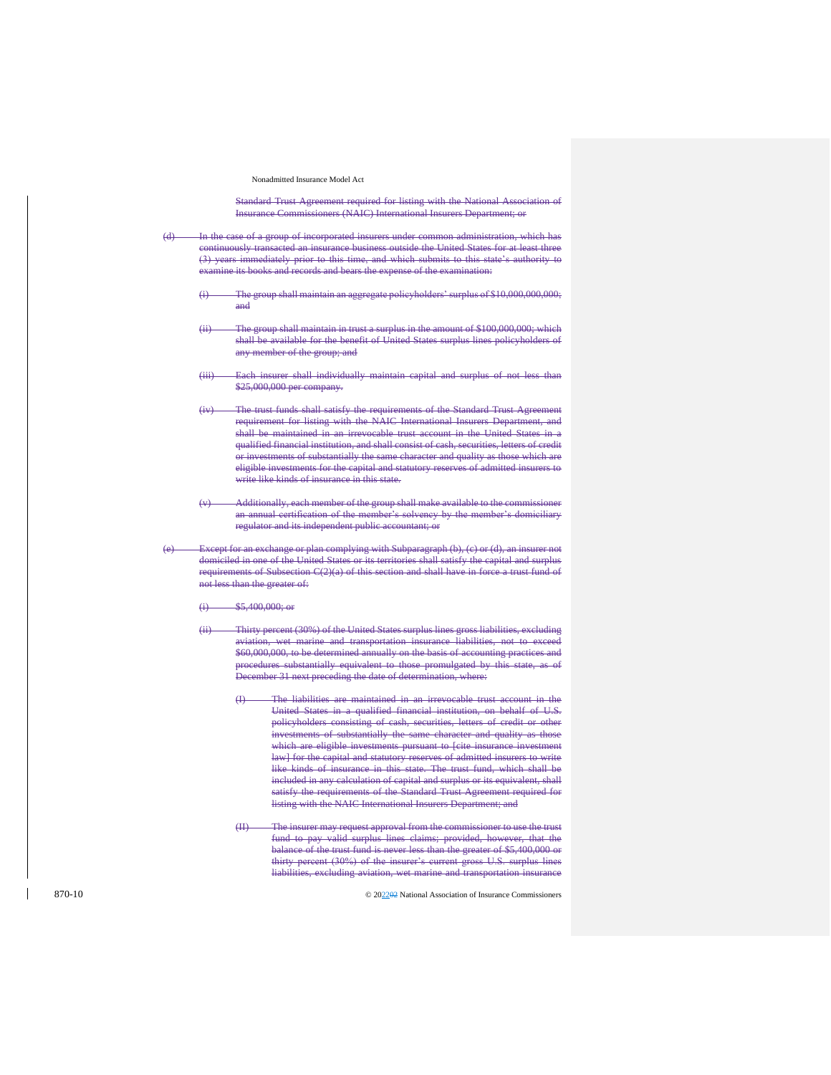Standard Trust Agreement required for listing with the National Association of Insurance Commissioners (NAIC) International Insurers Department; or

- (d) In the case of a group of incorporated insurers under common administration, which has continuously transacted an insurance business outside the United States for at least three (3) years immediately prior to this time, and which submits to this state's authority to examine its books and records and bears the expense of the examination:
	- (i) The group shall maintain an aggregate policyholders' surplus of \$10,000,000,000; and
	- (ii) The group shall maintain in trust a surplus in the amount of \$100,000,000; which shall be available for the benefit of United States surplus lines policyholders of any member of the group; and
	- (iii) Each insurer shall individually maintain capital and surplus of not less than \$25,000,000 per company.
	- The trust funds shall satisfy the requirements of the Standard Trust Agreement requirement for listing with the NAIC International Insurers Department, and shall be maintained in an irrevocable trust account in the United States in a qualified financial institution, and shall consist of cash, securities, letters of credit or investments of substantially the same character and quality as those which are eligible investments for the capital and statutory reserves of admitted insurers to write like kinds of insurance in this state.
	- Additionally, each member of the group shall make available to the commissioner an annual certification of the member's solvency by the member's domiciliary regulator and its independent public accountant; or
- Except for an exchange or plan complying with Subparagraph (b), (c) or (d), an insurer not domiciled in one of the United States or its territories shall satisfy the capital and surplus requirements of Subsection C(2)(a) of this section and shall have in force a trust fund of not less than the greater of:

### $(i)$  \$5,400,000; or

- Thirty percent (30%) of the United States surplus lines gross liabilities, excluding aviation, wet marine and transportation insurance liabilities, not to exceed \$60,000,000, to be determined annually on the basis of accounting practices and procedures substantially equivalent to those promulgated by this state, as of December 31 next preceding the date of determination, where:
	- (I) The liabilities are maintained in an irrevocable trust account in the United States in a qualified financial institution, on behalf of U.S. policyholders consisting of cash, securities, letters of credit or other investments of substantially the same character and quality as those which are eligible investments pursuant to [cite insurance investment law] for the capital and statutory reserves of admitted insurers to write like kinds of insurance in this state. The trust fund, which shall be included in any calculation of capital and surplus or its equivalent, shall satisfy the requirements of the Standard Trust Agreement required for listing with the NAIC International Insurers Department; and
	- (II) The insurer may request approval from the commissioner to use the trust fund to pay valid surplus lines claims; provided, however, that the balance of the trust fund is never less than the greater of \$5,400,000 or thirty percent (30%) of the insurer's current gross U.S. surplus lines liabilities, excluding aviation, wet marine and transportation insurance

870-10 © 202202 National Association of Insurance Commissioners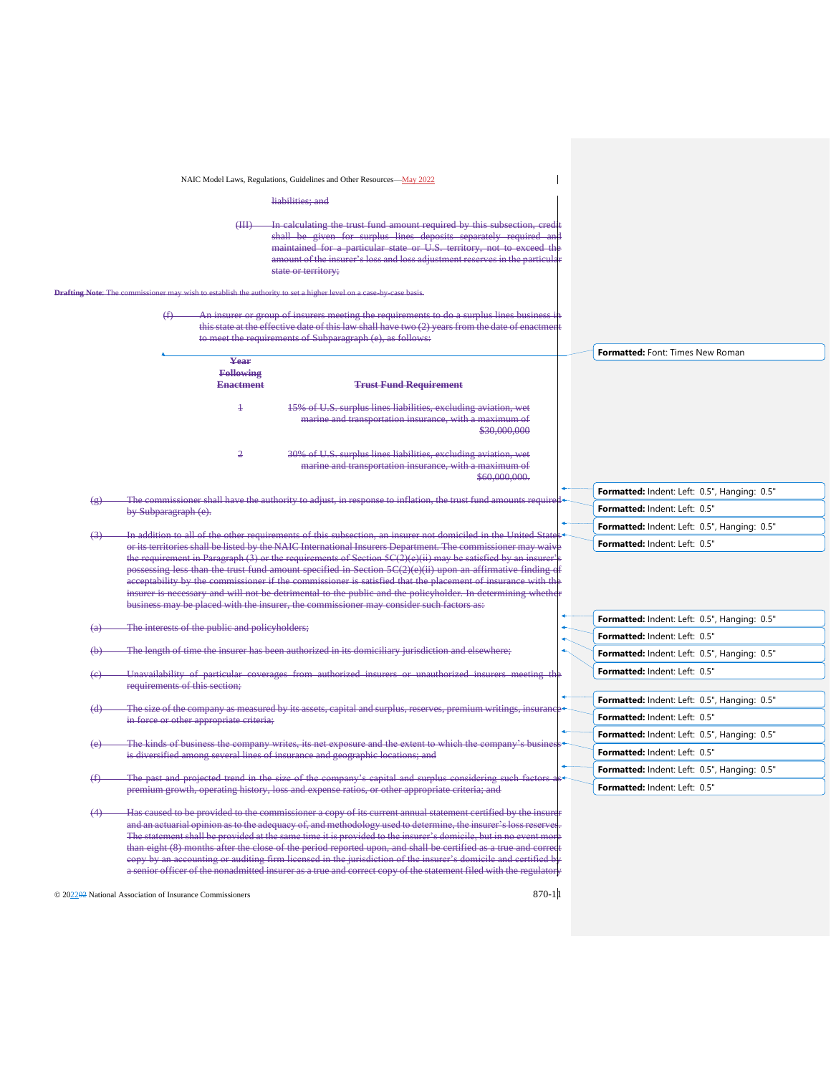|                           | NAIC Model Laws, Regulations, Guidelines and Other Resources-May 2022                                                                                                                                                                                                                                                                                                                                                                                                                                                                                                                                                                                                                                                                                                                    |                                                                               |
|---------------------------|------------------------------------------------------------------------------------------------------------------------------------------------------------------------------------------------------------------------------------------------------------------------------------------------------------------------------------------------------------------------------------------------------------------------------------------------------------------------------------------------------------------------------------------------------------------------------------------------------------------------------------------------------------------------------------------------------------------------------------------------------------------------------------------|-------------------------------------------------------------------------------|
|                           | liabilities; and                                                                                                                                                                                                                                                                                                                                                                                                                                                                                                                                                                                                                                                                                                                                                                         |                                                                               |
|                           | (HH)<br>In calculating the trust fund amount required by this subsection, credit<br>shall be given for surplus lines deposits separately required and<br>maintained for a particular state or U.S. territory, not to exceed the<br>amount of the insurer's loss and loss adjustment reserves in the particular<br>state or territory;                                                                                                                                                                                                                                                                                                                                                                                                                                                    |                                                                               |
|                           | Drafting Note: The commissioner may wish to establish the authority to set a higher level on a case by case basis.                                                                                                                                                                                                                                                                                                                                                                                                                                                                                                                                                                                                                                                                       |                                                                               |
|                           | (f)<br>An insurer or group of insurers meeting the requirements to do a surplus lines business in<br>this state at the effective date of this law shall have two (2) years from the date of enactment<br>to meet the requirements of Subparagraph (e), as follows:                                                                                                                                                                                                                                                                                                                                                                                                                                                                                                                       |                                                                               |
|                           | Year                                                                                                                                                                                                                                                                                                                                                                                                                                                                                                                                                                                                                                                                                                                                                                                     | Formatted: Font: Times New Roman                                              |
|                           | <b>Following</b><br><b>Enactment</b><br><b>Trust Fund Requirement</b>                                                                                                                                                                                                                                                                                                                                                                                                                                                                                                                                                                                                                                                                                                                    |                                                                               |
|                           | $\ddagger$<br>15% of U.S. surplus lines liabilities, excluding aviation, wet<br>marine and transportation insurance, with a maximum of<br>\$30,000,000                                                                                                                                                                                                                                                                                                                                                                                                                                                                                                                                                                                                                                   |                                                                               |
|                           | 2<br>30% of U.S. surplus lines liabilities, excluding aviation, wet<br>marine and transportation insurance, with a maximum of<br>\$60,000,000.                                                                                                                                                                                                                                                                                                                                                                                                                                                                                                                                                                                                                                           |                                                                               |
| $\left( g\right)$         | The commissioner shall have the authority to adjust, in response to inflation, the trust fund amounts required                                                                                                                                                                                                                                                                                                                                                                                                                                                                                                                                                                                                                                                                           | <b>Formatted:</b> Indent: Left: 0.5", Hanging: 0.5"                           |
|                           | by Subparagraph (e).                                                                                                                                                                                                                                                                                                                                                                                                                                                                                                                                                                                                                                                                                                                                                                     | Formatted: Indent: Left: 0.5"                                                 |
| $\left(3\right)$          | In addition to all of the other requirements of this subsection, an insurer not domiciled in the United State<br>or its territories shall be listed by the NAIC International Insurers Department. The commissioner may waive<br>the requirement in Paragraph (3) or the requirements of Section $5C(2)(e)(ii)$ may be satisfied by an insurer's<br>possessing less than the trust fund amount specified in Section 5C(2)(e)(ii) upon an affirmative finding el<br>acceptability by the commissioner if the commissioner is satisfied that the placement of insurance with the<br>insurer is necessary and will not be detrimental to the public and the policyholder. In determining whether<br>business may be placed with the insurer, the commissioner may consider such factors as: | Formatted: Indent: Left: 0.5", Hanging: 0.5"<br>Formatted: Indent: Left: 0.5" |
|                           |                                                                                                                                                                                                                                                                                                                                                                                                                                                                                                                                                                                                                                                                                                                                                                                          | <b>Formatted:</b> Indent: Left: 0.5", Hanging: 0.5"                           |
| $\left( a\right)$         | The interests of the public and policyholders;                                                                                                                                                                                                                                                                                                                                                                                                                                                                                                                                                                                                                                                                                                                                           | Formatted: Indent: Left: 0.5"                                                 |
| $\leftrightarrow$         | The length of time the insurer has been authorized in its domiciliary jurisdiction and elsewhere;                                                                                                                                                                                                                                                                                                                                                                                                                                                                                                                                                                                                                                                                                        | <b>Formatted:</b> Indent: Left: 0.5", Hanging: 0.5"                           |
| $\left(\mathrm{e}\right)$ | Unavailability of particular coverages from authorized insurers or unauthorized insurers meeting the<br>requirements of this section;                                                                                                                                                                                                                                                                                                                                                                                                                                                                                                                                                                                                                                                    | Formatted: Indent: Left: 0.5"                                                 |
|                           |                                                                                                                                                                                                                                                                                                                                                                                                                                                                                                                                                                                                                                                                                                                                                                                          | Formatted: Indent: Left: 0.5", Hanging: 0.5"                                  |
| (d)                       | The size of the company as measured by its assets, capital and surplus, reserves, premium writings, insurance<br>in force or other appropriate criteria;                                                                                                                                                                                                                                                                                                                                                                                                                                                                                                                                                                                                                                 | <b>Formatted: Indent: Left: 0.5"</b>                                          |
|                           |                                                                                                                                                                                                                                                                                                                                                                                                                                                                                                                                                                                                                                                                                                                                                                                          | Formatted: Indent: Left: 0.5", Hanging: 0.5"                                  |
| (e)                       | The kinds of business the company writes, its net exposure and the extent to which the company's businese<br>is diversified among several lines of insurance and geographic locations; and                                                                                                                                                                                                                                                                                                                                                                                                                                                                                                                                                                                               | Formatted: Indent: Left: 0.5"                                                 |
|                           |                                                                                                                                                                                                                                                                                                                                                                                                                                                                                                                                                                                                                                                                                                                                                                                          | Formatted: Indent: Left: 0.5", Hanging: 0.5"                                  |
| $\leftrightarrow$         | The past and projected trend in the size of the company's capital and surplus considering such factors as<br>premium growth, operating history, loss and expense ratios, or other appropriate criteria; and                                                                                                                                                                                                                                                                                                                                                                                                                                                                                                                                                                              | Formatted: Indent: Left: 0.5"                                                 |
| (4)                       | Has caused to be provided to the commissioner a copy of its current annual statement certified by the insurer<br>and an actuarial opinion as to the adequacy of, and methodology used to determine, the insurer's loss reserves.<br>The statement shall be provided at the same time it is provided to the insurer's domicile, but in no event more                                                                                                                                                                                                                                                                                                                                                                                                                                      |                                                                               |
|                           | than eight (8) months after the close of the period reported upon, and shall be certified as a true and correct<br>copy by an accounting or auditing firm licensed in the jurisdiction of the insurer's domicile and certified by<br>a senior officer of the nonadmitted insurer as a true and correct copy of the statement filed with the regulatory                                                                                                                                                                                                                                                                                                                                                                                                                                   |                                                                               |

© 202202 National Association of Insurance Commissioners 870-11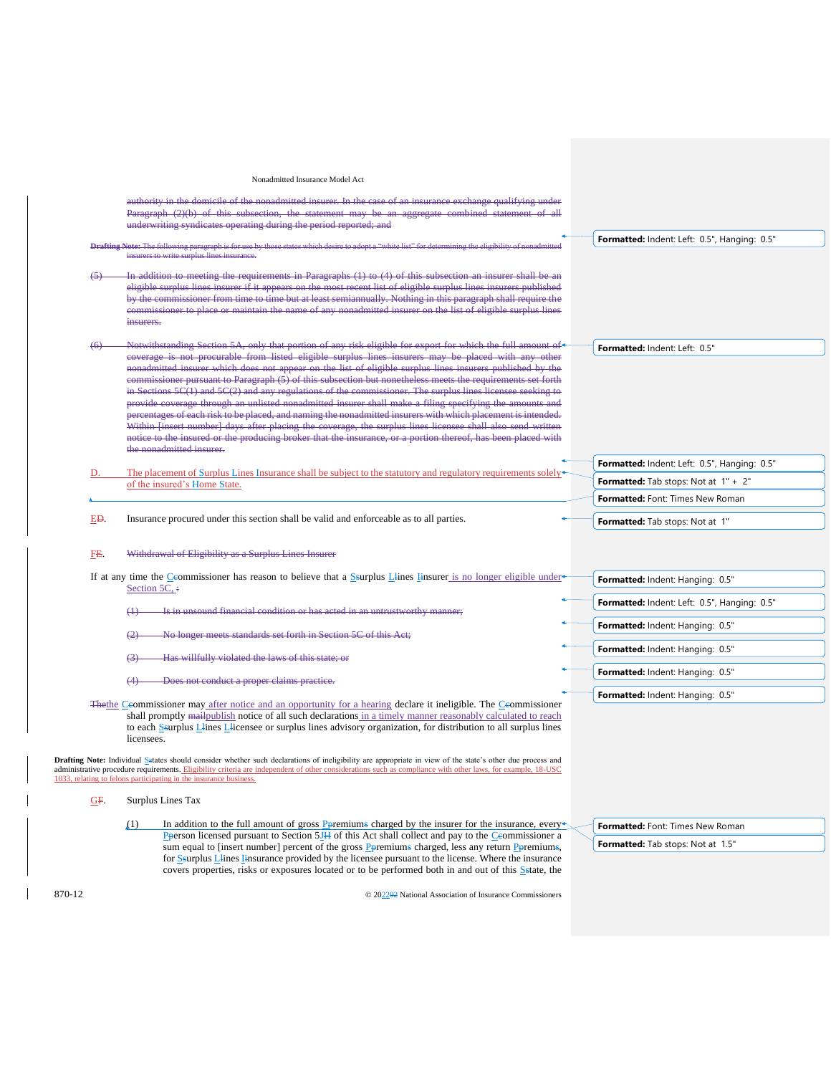|     | authority in the domicile of the nonadmitted insurer. In the case of an insurance exchange qualifying under<br>Paragraph (2)(b) of this subsection, the statement may be an aggregate combined statement of all<br>underwriting syndicates operating during the period reported; and                                                                                                                                                                                                                                                                                                                                                                                                                                                                                                                                                                                                                                                                                                                                                                |                                                                                             |
|-----|-----------------------------------------------------------------------------------------------------------------------------------------------------------------------------------------------------------------------------------------------------------------------------------------------------------------------------------------------------------------------------------------------------------------------------------------------------------------------------------------------------------------------------------------------------------------------------------------------------------------------------------------------------------------------------------------------------------------------------------------------------------------------------------------------------------------------------------------------------------------------------------------------------------------------------------------------------------------------------------------------------------------------------------------------------|---------------------------------------------------------------------------------------------|
|     | Drafting Note: The following paragraph is for use by those states which desire to adopt a "white list" for determining the eligibility of nonadmitted<br>insurers to write surplus lines insurance.                                                                                                                                                                                                                                                                                                                                                                                                                                                                                                                                                                                                                                                                                                                                                                                                                                                 | Formatted: Indent: Left: 0.5", Hanging: 0.5"                                                |
| (5) | In addition to meeting the requirements in Paragraphs (1) to (4) of this subsection an insurer shall be an<br>eligible surplus lines insurer if it appears on the most recent list of eligible surplus lines insurers published<br>by the commissioner from time to time but at least semiannually. Nothing in this paragraph shall require the<br>commissioner to place or maintain the name of any nonadmitted insurer on the list of eligible surplus lines<br>insurers.                                                                                                                                                                                                                                                                                                                                                                                                                                                                                                                                                                         |                                                                                             |
| (6) | Notwithstanding Section 5A, only that portion of any risk eligible for export for which the full amount of<br>coverage is not procurable from listed eligible surplus lines insurers may be placed with any other<br>nonadmitted insurer which does not appear on the list of eligible surplus lines insurers published by the<br>commissioner pursuant to Paragraph (5) of this subsection but nonetheless meets the requirements set forth<br>in Sections $5C(1)$ and $5C(2)$ and any regulations of the commissioner. The surplus lines licensee seeking to<br>provide coverage through an unlisted nonadmitted insurer shall make a filing specifying the amounts and<br>percentages of each risk to be placed, and naming the nonadmitted insurers with which placement is intended.<br>Within [insert number] days after placing the coverage, the surplus lines licensee shall also send written<br>notice to the insured or the producing broker that the insurance, or a portion thereof, has been placed with<br>the nonadmitted insurer. | Formatted: Indent: Left: 0.5"                                                               |
| D.  | The placement of Surplus Lines Insurance shall be subject to the statutory and regulatory requirements solely<br>of the insured's Home State.                                                                                                                                                                                                                                                                                                                                                                                                                                                                                                                                                                                                                                                                                                                                                                                                                                                                                                       | Formatted: Indent: Left: 0.5", Hanging: 0.5"<br><b>Formatted:</b> Tab stops: Not at 1" + 2" |
|     |                                                                                                                                                                                                                                                                                                                                                                                                                                                                                                                                                                                                                                                                                                                                                                                                                                                                                                                                                                                                                                                     | <b>Formatted:</b> Font: Times New Roman                                                     |
| EĐ. | Insurance procured under this section shall be valid and enforceable as to all parties.                                                                                                                                                                                                                                                                                                                                                                                                                                                                                                                                                                                                                                                                                                                                                                                                                                                                                                                                                             | Formatted: Tab stops: Not at 1"                                                             |
| FE. | Withdrawal of Eligibility as a Surplus Lines Insurer                                                                                                                                                                                                                                                                                                                                                                                                                                                                                                                                                                                                                                                                                                                                                                                                                                                                                                                                                                                                |                                                                                             |
|     | If at any time the Ceommissioner has reason to believe that a Ssurplus Llines I insurer is no longer eligible under<br>Section $5C$ , $\div$                                                                                                                                                                                                                                                                                                                                                                                                                                                                                                                                                                                                                                                                                                                                                                                                                                                                                                        | Formatted: Indent: Hanging: 0.5"                                                            |
|     | Is in unsound financial condition or has acted in an untrustworthy manner;                                                                                                                                                                                                                                                                                                                                                                                                                                                                                                                                                                                                                                                                                                                                                                                                                                                                                                                                                                          | Formatted: Indent: Left: 0.5", Hanging: 0.5"                                                |
|     | No longer meets standards set forth in Section 5C of this Act;                                                                                                                                                                                                                                                                                                                                                                                                                                                                                                                                                                                                                                                                                                                                                                                                                                                                                                                                                                                      | Formatted: Indent: Hanging: 0.5"                                                            |
|     | Has willfully violated the laws of this state; or                                                                                                                                                                                                                                                                                                                                                                                                                                                                                                                                                                                                                                                                                                                                                                                                                                                                                                                                                                                                   | Formatted: Indent: Hanging: 0.5"                                                            |
|     | Does not conduct a proper claims practice.<br>(4)                                                                                                                                                                                                                                                                                                                                                                                                                                                                                                                                                                                                                                                                                                                                                                                                                                                                                                                                                                                                   | <b>Formatted:</b> Indent: Hanging: 0.5"                                                     |
|     | The the Ceommissioner may after notice and an opportunity for a hearing declare it ineligible. The Ceommissioner<br>shall promptly mailpublish notice of all such declarations in a timely manner reasonably calculated to reach<br>to each Ssurplus Lines Licensee or surplus lines advisory organization, for distribution to all surplus lines<br>licensees.<br>Drafting Note: Individual Sstates should consider whether such declarations of ineligibility are appropriate in view of the state's other due process and<br>administrative procedure requirements. Eligibility criteria are independent of other considerations such as compliance with other laws, for example, 18-USC                                                                                                                                                                                                                                                                                                                                                         | Formatted: Indent: Hanging: 0.5"                                                            |

GF. Surplus Lines Tax

(1) In addition to the full amount of gross **P** premiums charged by the insurer for the insurance, every Person licensed pursuant to Section 5JH of this Act shall collect and pay to the Ceommissioner a sum equal to [insert number] percent of the gross **P**premiums charged, less any return **P**premiums, for Ssurplus Llines Iinsurance provided by the licensee pursuant to the license. Where the insurance covers properties, risks or exposures located or to be performed both in and out of this Sstate, the

**Formatted:** Font: Times New Roman **Formatted:** Tab stops: Not at 1.5"

870-12 © 202202 National Association of Insurance Commissioners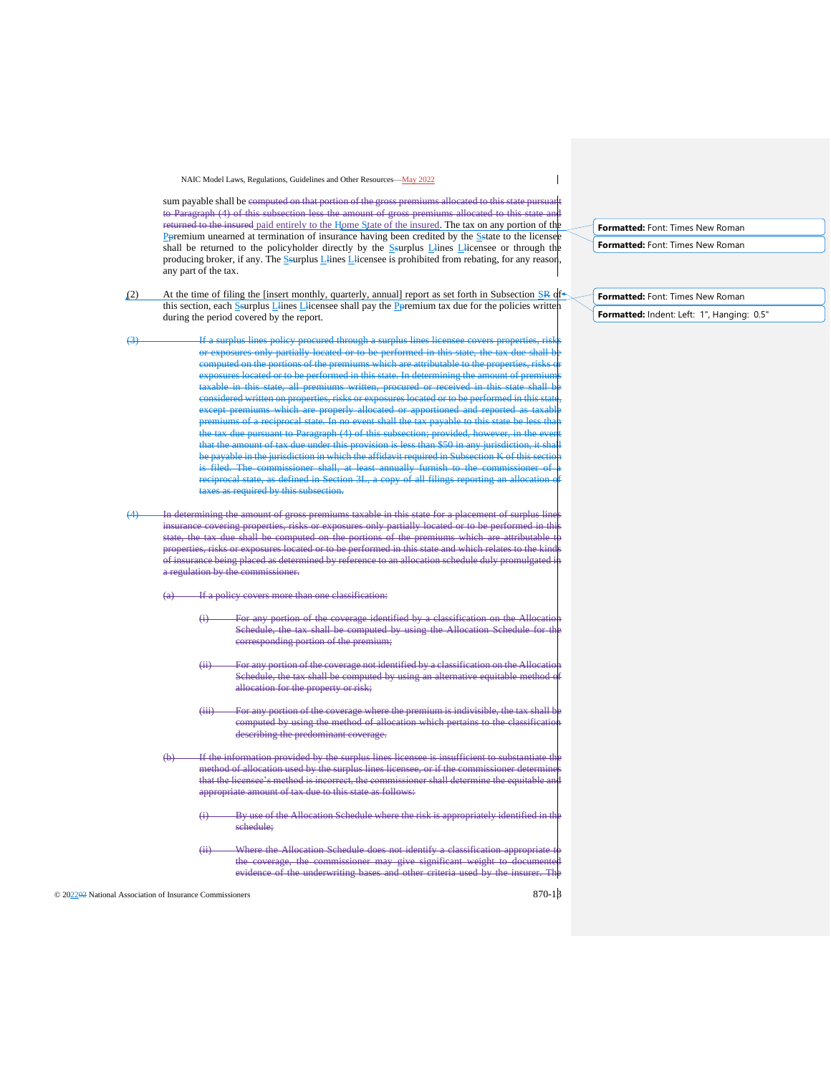sum payable shall be computed on that portion of the gross premiums allocated to this state pursuant to Paragraph (4) of this subsection less the amount of gross premiums allocated to this state and returned to the insured paid entirely to the Home State of the insured. The tax on any portion of th Ppremium unearned at termination of insurance having been credited by the Sstate to the license shall be returned to the policyholder directly by the  $S$ surplus Llines Licensee or through the producing broker, if any. The Ssurplus Llines Llicensee is prohibited from rebating, for any reason any part of the tax.

- (2) At the time of filing the [insert monthly, quarterly, annual] report as set forth in Subsection SR  $df^*$ this section, each Surplus Llines Llicensee shall pay the Ppremium tax due for the policies written during the period covered by the report.
- (3) If a surplus lines policy procured through a surplus lines or exposures only partially located or to be performed in this state, the tax due shall be nputed on the portions of the premiums exposures located or to be performed in this state. In determining the amount of premiums taxable in this state, all premiums written, procured or received in this state shall be considered written on properties, risks or exposures located or to be performed in this state, perly allocated or apportioned and re as of a reciprocal state. In no event shall the tax payable to this state be  $l$ tax due pursuant to Paragraph (4) of this subsection; provided, how that the amount of tax due under this provision is less than \$50 in any juris  $\epsilon$  payable in the jurisdiction in which the affidavit required in Subsection K of thi commissioner shall, at least annually reciprocal state, as defined in Section 3L, a copy of all filings reporting an alloc taxes as required by this subsection.
- In determining the amount of gross premiums taxable in this state for a placement of surplus lines insurance covering properties, risks or exposures only partially located or to be perfo state, the tax due shall be computed on the portions of the premiums which are attributable properties, risks or exposures located or to be performed in this state and which relates to the kin of insurance being placed as determined by reference to an allocation schedule duly promulgated a regulation by the commissioner.
	- If a policy covers more than one classification:
		- (i) For any portion of the coverage identified by a classification on the Allocation Schedule, the tax shall be computed by using the Allocation Schedule for the corresponding portion of the premium;
		- (ii) For any portion of the coverage not identified by a classification on the Allocation Schedule, the tax shall be computed by using an alternative equitable allocation for the property or risk;
		- (iii) For any portion of the coverage where the premium is indivisible, the tax shall be computed by using the method of allocation which pertains to the classificati describing the predominant coverage.
	- If the information provided by the surplus lines licensee is insufficient to sub method of allocation used by the surplus lines licensee, or if the commissioner determ that the licensee's method is incorrect, the commissioner shall dete appropriate amount of tax due to this state as follows:
		- (i) By use of the Allocation Schedule where the risk is appropriately identified in the schedule;
		- (ii) Where the Allocation Schedule does not identify a classification appropriate the coverage, the commissioner may give significant weight to document evidence of the underwriting bases and other criteria used by the insurer. The

© 202202 National Association of Insurance Commissioners 870-13

**Formatted:** Font: Times New Roman

**Formatted:** Font: Times New Roman

 $\overline{\phantom{a}}$ 

**Formatted:** Font: Times New Roman **Formatted:** Indent: Left: 1", Hanging: 0.5"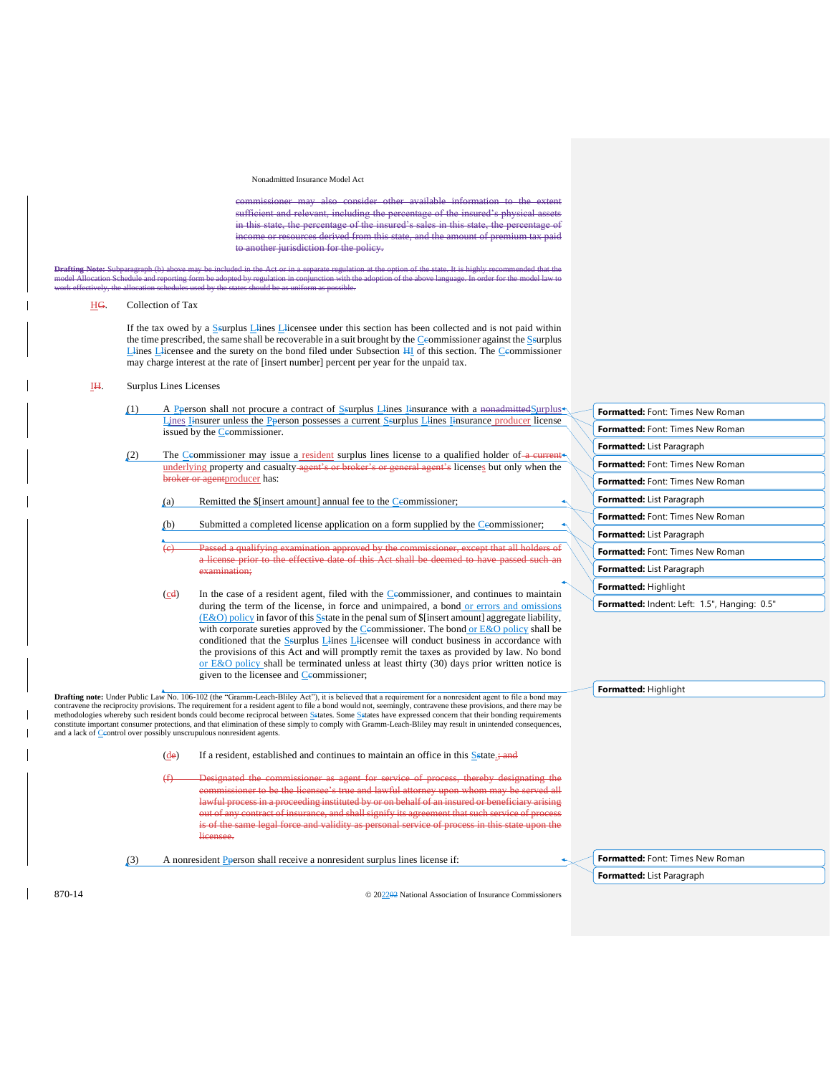commissioner may also consider other available information to the extent sufficient and relevant, including the percentage of the insured's physical assets in this state, the percentage of the insured's sales in this state, the percentage of income or resources derived from this state, and the amount of premium tax paid to another jurisdiction for the policy.

|     |                        |             | work effectively, the allocation schedules used by the states should be as uniform as possible.                                                                                                                                                                                                                                                                                                                                                                                                                                                                                                                                                                                                                           |   |                        |
|-----|------------------------|-------------|---------------------------------------------------------------------------------------------------------------------------------------------------------------------------------------------------------------------------------------------------------------------------------------------------------------------------------------------------------------------------------------------------------------------------------------------------------------------------------------------------------------------------------------------------------------------------------------------------------------------------------------------------------------------------------------------------------------------------|---|------------------------|
| HG. | Collection of Tax      |             |                                                                                                                                                                                                                                                                                                                                                                                                                                                                                                                                                                                                                                                                                                                           |   |                        |
|     |                        |             | If the tax owed by a Ssurplus Llines Llicensee under this section has been collected and is not paid within<br>the time prescribed, the same shall be recoverable in a suit brought by the Ceommissioner against the S-surplus<br>Lines Licensee and the surety on the bond filed under Subsection HI of this section. The Ceommissioner<br>may charge interest at the rate of [insert number] percent per year for the unpaid tax.                                                                                                                                                                                                                                                                                       |   |                        |
| IĦ. | Surplus Lines Licenses |             |                                                                                                                                                                                                                                                                                                                                                                                                                                                                                                                                                                                                                                                                                                                           |   |                        |
|     | (1)                    |             | A Pperson shall not procure a contract of Ssurplus Llines Insurance with a nonadmitted Surplus                                                                                                                                                                                                                                                                                                                                                                                                                                                                                                                                                                                                                            |   | Formatted: Font: Time  |
|     |                        |             | Lines Insurer unless the Peerson possesses a current Seurplus Lines Insurance producer license<br>issued by the Ceommissioner.                                                                                                                                                                                                                                                                                                                                                                                                                                                                                                                                                                                            |   | Formatted: Font: Time  |
|     |                        |             |                                                                                                                                                                                                                                                                                                                                                                                                                                                                                                                                                                                                                                                                                                                           |   | Formatted: List Parage |
|     | (2)                    |             | The Ceommissioner may issue a resident surplus lines license to a qualified holder of a current<br>underlying property and casualty-agent's or broker's or general agent's licenses but only when the                                                                                                                                                                                                                                                                                                                                                                                                                                                                                                                     |   | Formatted: Font: Time  |
|     |                        |             | broker or agent producer has:                                                                                                                                                                                                                                                                                                                                                                                                                                                                                                                                                                                                                                                                                             |   | Formatted: Font: Time  |
|     |                        | (a)         | Remitted the \$[insert amount] annual fee to the Ceommissioner;                                                                                                                                                                                                                                                                                                                                                                                                                                                                                                                                                                                                                                                           | ٠ | Formatted: List Parag  |
|     |                        |             |                                                                                                                                                                                                                                                                                                                                                                                                                                                                                                                                                                                                                                                                                                                           |   | Formatted: Font: Time  |
|     |                        | (b)         | Submitted a completed license application on a form supplied by the Ceommissioner;                                                                                                                                                                                                                                                                                                                                                                                                                                                                                                                                                                                                                                        |   | Formatted: List Parag  |
|     |                        | (e)         | Passed a qualifying examination approved by the commissioner, except that all holders of                                                                                                                                                                                                                                                                                                                                                                                                                                                                                                                                                                                                                                  |   | Formatted: Font: Time  |
|     |                        |             | a license prior to the effective date of this Act shall be deemed to have passed such an<br>examination;                                                                                                                                                                                                                                                                                                                                                                                                                                                                                                                                                                                                                  |   | Formatted: List Parag  |
|     |                        |             |                                                                                                                                                                                                                                                                                                                                                                                                                                                                                                                                                                                                                                                                                                                           |   | Formatted: Highlight   |
|     |                        | (cd)        | In the case of a resident agent, filed with the Ceommissioner, and continues to maintain                                                                                                                                                                                                                                                                                                                                                                                                                                                                                                                                                                                                                                  |   | Formatted: Indent: Le  |
|     |                        |             | during the term of the license, in force and unimpaired, a bond or errors and omissions<br>(E&O) policy in favor of this S state in the penal sum of \$[insert amount] aggregate liability,<br>with corporate sureties approved by the Ceommissioner. The bond or $E&O$ policy shall be<br>conditioned that the Ssurplus Llines Llicensee will conduct business in accordance with<br>the provisions of this Act and will promptly remit the taxes as provided by law. No bond<br>or E&O policy shall be terminated unless at least thirty $(30)$ days prior written notice is<br>given to the licensee and Ceommissioner;                                                                                                |   |                        |
|     |                        |             | Drafting note: Under Public Law No. 106-102 (the "Gramm-Leach-Bliley Act"), it is believed that a requirement for a nonresident agent to file a bond may<br>contravene the reciprocity provisions. The requirement for a resident agent to file a bond would not, seemingly, contravene these provisions, and there may be<br>methodologies whereby such resident bonds could become reciprocal between Sstates. Some Sstates have expressed concern that their bonding requirements<br>constitute important consumer protections, and that elimination of these simply to comply with Gramm-Leach-Bliley may result in unintended consequences,<br>and a lack of Ceontrol over possibly unscrupulous nonresident agents. |   | Formatted: Highlight   |
|     |                        | (de)        | If a resident, established and continues to maintain an office in this Sstate.                                                                                                                                                                                                                                                                                                                                                                                                                                                                                                                                                                                                                                            |   |                        |
|     |                        | $\bigoplus$ | Designated the commissioner as agent for service of process, thereby designating the<br>commissioner to be the licensee's true and lawful attorney upon whom may be served all<br>lawful process in a proceeding instituted by or on behalf of an insured or beneficiary arising<br>out of any contract of insurance, and shall signify its agreement that such service of process<br>is of the same legal force and validity as personal service of process in this state upon the<br>licensee.                                                                                                                                                                                                                          |   |                        |
|     | (3)                    |             | A nonresident Presson shall receive a nonresident surplus lines license if:                                                                                                                                                                                                                                                                                                                                                                                                                                                                                                                                                                                                                                               |   | Formatted: Font: Time  |
|     |                        |             |                                                                                                                                                                                                                                                                                                                                                                                                                                                                                                                                                                                                                                                                                                                           |   | Formatted: List Parage |

| <b>Formatted:</b> Font: Times New Roman             |
|-----------------------------------------------------|
| <b>Formatted:</b> Font: Times New Roman             |
| Formatted: List Paragraph                           |
| <b>Formatted:</b> Font: Times New Roman             |
| <b>Formatted:</b> Font: Times New Roman             |
| <b>Formatted:</b> List Paragraph                    |
| <b>Formatted:</b> Font: Times New Roman             |
| <b>Formatted:</b> List Paragraph                    |
| <b>Formatted:</b> Font: Times New Roman             |
| Formatted: List Paragraph                           |
| Formatted: Highlight                                |
| <b>Formatted:</b> Indent: Left: 1.5", Hanging: 0.5" |

870-14 © 202202 National Association of Insurance Commissioners

**Formatted:** Font: Times New Roman **Formatted:** List Paragraph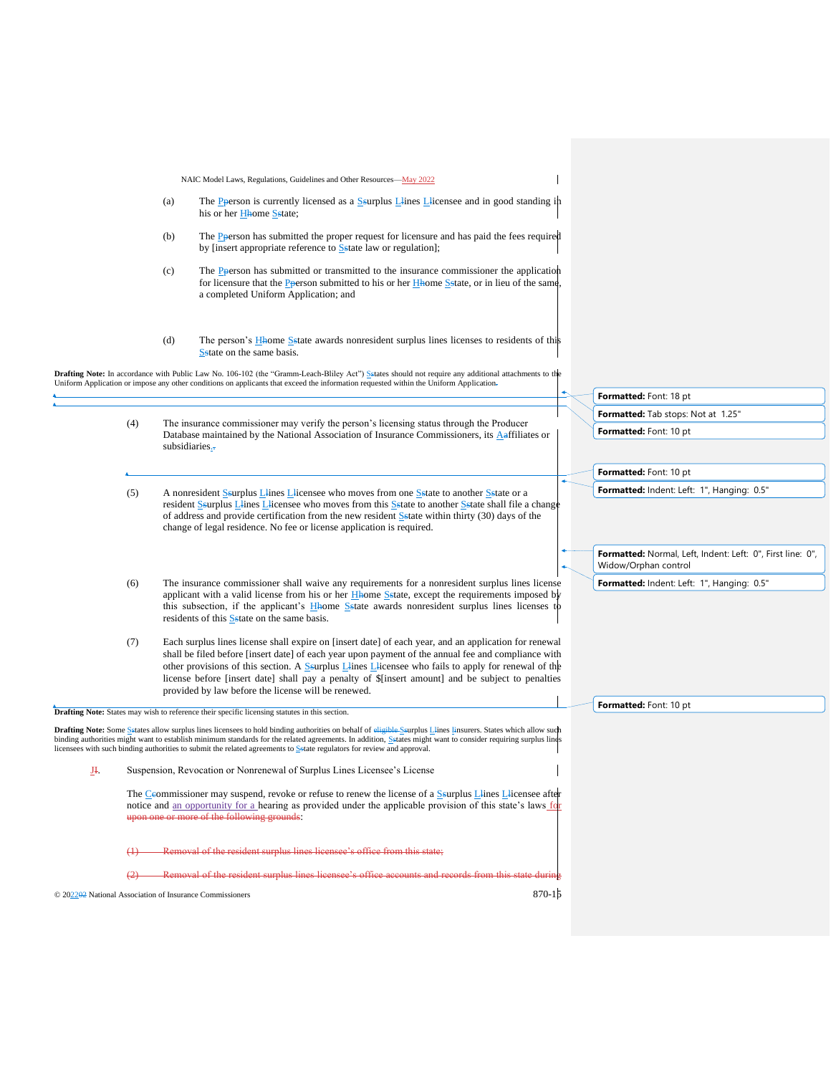|                                                                                                                                                                                                                                                                                                                                                                                                                                                                                                                                                             |                                                                                                                                                                                                                                                                        |                | NAIC Model Laws, Regulations, Guidelines and Other Resources-May 2022                                                                                                                                                                                                                                                                                                                                                                                                         |        |  |  |                                                                                    |
|-------------------------------------------------------------------------------------------------------------------------------------------------------------------------------------------------------------------------------------------------------------------------------------------------------------------------------------------------------------------------------------------------------------------------------------------------------------------------------------------------------------------------------------------------------------|------------------------------------------------------------------------------------------------------------------------------------------------------------------------------------------------------------------------------------------------------------------------|----------------|-------------------------------------------------------------------------------------------------------------------------------------------------------------------------------------------------------------------------------------------------------------------------------------------------------------------------------------------------------------------------------------------------------------------------------------------------------------------------------|--------|--|--|------------------------------------------------------------------------------------|
|                                                                                                                                                                                                                                                                                                                                                                                                                                                                                                                                                             |                                                                                                                                                                                                                                                                        | (a)            | The <b>P</b> person is currently licensed as a S-surplus L-lines L-licensee and in good standing in<br>his or her Hhome Sstate;                                                                                                                                                                                                                                                                                                                                               |        |  |  |                                                                                    |
|                                                                                                                                                                                                                                                                                                                                                                                                                                                                                                                                                             |                                                                                                                                                                                                                                                                        | (b)            | The Person has submitted the proper request for licensure and has paid the fees required<br>by [insert appropriate reference to Sstate law or regulation];                                                                                                                                                                                                                                                                                                                    |        |  |  |                                                                                    |
|                                                                                                                                                                                                                                                                                                                                                                                                                                                                                                                                                             |                                                                                                                                                                                                                                                                        | (c)            | The Person has submitted or transmitted to the insurance commissioner the application<br>for licensure that the P person submitted to his or her H home S state, or in lieu of the same,<br>a completed Uniform Application; and                                                                                                                                                                                                                                              |        |  |  |                                                                                    |
|                                                                                                                                                                                                                                                                                                                                                                                                                                                                                                                                                             |                                                                                                                                                                                                                                                                        | (d)            | The person's H home S state awards nonresident surplus lines licenses to residents of this<br>Sstate on the same basis.                                                                                                                                                                                                                                                                                                                                                       |        |  |  |                                                                                    |
|                                                                                                                                                                                                                                                                                                                                                                                                                                                                                                                                                             |                                                                                                                                                                                                                                                                        |                | Drafting Note: In accordance with Public Law No. 106-102 (the "Gramm-Leach-Bliley Act") Sstates should not require any additional attachments to the<br>Uniform Application or impose any other conditions on applicants that exceed the information requested within the Uniform Application-                                                                                                                                                                                |        |  |  |                                                                                    |
|                                                                                                                                                                                                                                                                                                                                                                                                                                                                                                                                                             |                                                                                                                                                                                                                                                                        |                |                                                                                                                                                                                                                                                                                                                                                                                                                                                                               |        |  |  | Formatted: Font: 18 pt                                                             |
|                                                                                                                                                                                                                                                                                                                                                                                                                                                                                                                                                             | (4)                                                                                                                                                                                                                                                                    |                | The insurance commissioner may verify the person's licensing status through the Producer                                                                                                                                                                                                                                                                                                                                                                                      |        |  |  | Formatted: Tab stops: Not at 1.25"                                                 |
|                                                                                                                                                                                                                                                                                                                                                                                                                                                                                                                                                             |                                                                                                                                                                                                                                                                        | subsidiaries.- | Database maintained by the National Association of Insurance Commissioners, its Aaffiliates or                                                                                                                                                                                                                                                                                                                                                                                |        |  |  | Formatted: Font: 10 pt                                                             |
|                                                                                                                                                                                                                                                                                                                                                                                                                                                                                                                                                             |                                                                                                                                                                                                                                                                        |                |                                                                                                                                                                                                                                                                                                                                                                                                                                                                               |        |  |  | Formatted: Font: 10 pt                                                             |
|                                                                                                                                                                                                                                                                                                                                                                                                                                                                                                                                                             |                                                                                                                                                                                                                                                                        |                |                                                                                                                                                                                                                                                                                                                                                                                                                                                                               |        |  |  | Formatted: Indent: Left: 1", Hanging: 0.5"                                         |
|                                                                                                                                                                                                                                                                                                                                                                                                                                                                                                                                                             | (5)                                                                                                                                                                                                                                                                    |                | A nonresident Surplus Llines Licensee who moves from one State to another State or a<br>resident Seurplus Llines Licensee who moves from this Setate to another Setate shall file a change<br>of address and provide certification from the new resident Sstate within thirty (30) days of the<br>change of legal residence. No fee or license application is required.                                                                                                       |        |  |  |                                                                                    |
|                                                                                                                                                                                                                                                                                                                                                                                                                                                                                                                                                             |                                                                                                                                                                                                                                                                        |                |                                                                                                                                                                                                                                                                                                                                                                                                                                                                               |        |  |  | Formatted: Normal, Left, Indent: Left: 0", First line: 0",<br>Widow/Orphan control |
|                                                                                                                                                                                                                                                                                                                                                                                                                                                                                                                                                             | (6)                                                                                                                                                                                                                                                                    |                | The insurance commissioner shall waive any requirements for a nonresident surplus lines license<br>applicant with a valid license from his or her $H$ home Sstate, except the requirements imposed by<br>this subsection, if the applicant's Hhome State awards nonresident surplus lines licenses to<br>residents of this S state on the same basis.                                                                                                                         |        |  |  | Formatted: Indent: Left: 1", Hanging: 0.5"                                         |
|                                                                                                                                                                                                                                                                                                                                                                                                                                                                                                                                                             | (7)                                                                                                                                                                                                                                                                    |                | Each surplus lines license shall expire on [insert date] of each year, and an application for renewal<br>shall be filed before [insert date] of each year upon payment of the annual fee and compliance with<br>other provisions of this section. A Ssurplus Lines Licensee who fails to apply for renewal of the<br>license before [insert date] shall pay a penalty of \$[insert amount] and be subject to penalties<br>provided by law before the license will be renewed. |        |  |  |                                                                                    |
|                                                                                                                                                                                                                                                                                                                                                                                                                                                                                                                                                             |                                                                                                                                                                                                                                                                        |                |                                                                                                                                                                                                                                                                                                                                                                                                                                                                               |        |  |  | Formatted: Font: 10 pt                                                             |
| Drafting Note: States may wish to reference their specific licensing statutes in this section.<br>Drafting Note: Some Sstates allow surplus lines licensees to hold binding authorities on behalf of eligible-Ssurplus Llines Iinsurers. States which allow such<br>binding authorities might want to establish minimum standards for the related agreements. In addition, Sstates might want to consider requiring surplus lines<br>licensees with such binding authorities to submit the related agreements to Sstate regulators for review and approval. |                                                                                                                                                                                                                                                                        |                |                                                                                                                                                                                                                                                                                                                                                                                                                                                                               |        |  |  |                                                                                    |
| Л.                                                                                                                                                                                                                                                                                                                                                                                                                                                                                                                                                          |                                                                                                                                                                                                                                                                        |                | Suspension, Revocation or Nonrenewal of Surplus Lines Licensee's License                                                                                                                                                                                                                                                                                                                                                                                                      |        |  |  |                                                                                    |
|                                                                                                                                                                                                                                                                                                                                                                                                                                                                                                                                                             | The Ceommissioner may suspend, revoke or refuse to renew the license of a Ssurplus Llines Llicensee after<br>notice and an opportunity for a hearing as provided under the applicable provision of this state's laws for<br>upon one or more of the following grounds: |                |                                                                                                                                                                                                                                                                                                                                                                                                                                                                               |        |  |  |                                                                                    |
|                                                                                                                                                                                                                                                                                                                                                                                                                                                                                                                                                             | (1)                                                                                                                                                                                                                                                                    |                | Removal of the resident surplus lines licensee's office from this state;                                                                                                                                                                                                                                                                                                                                                                                                      |        |  |  |                                                                                    |
|                                                                                                                                                                                                                                                                                                                                                                                                                                                                                                                                                             | (2)                                                                                                                                                                                                                                                                    |                | Removal of the resident surplus lines licensee's office accounts and records from this state during                                                                                                                                                                                                                                                                                                                                                                           |        |  |  |                                                                                    |
| © 202202 National Association of Insurance Commissioners                                                                                                                                                                                                                                                                                                                                                                                                                                                                                                    |                                                                                                                                                                                                                                                                        |                |                                                                                                                                                                                                                                                                                                                                                                                                                                                                               | 870-15 |  |  |                                                                                    |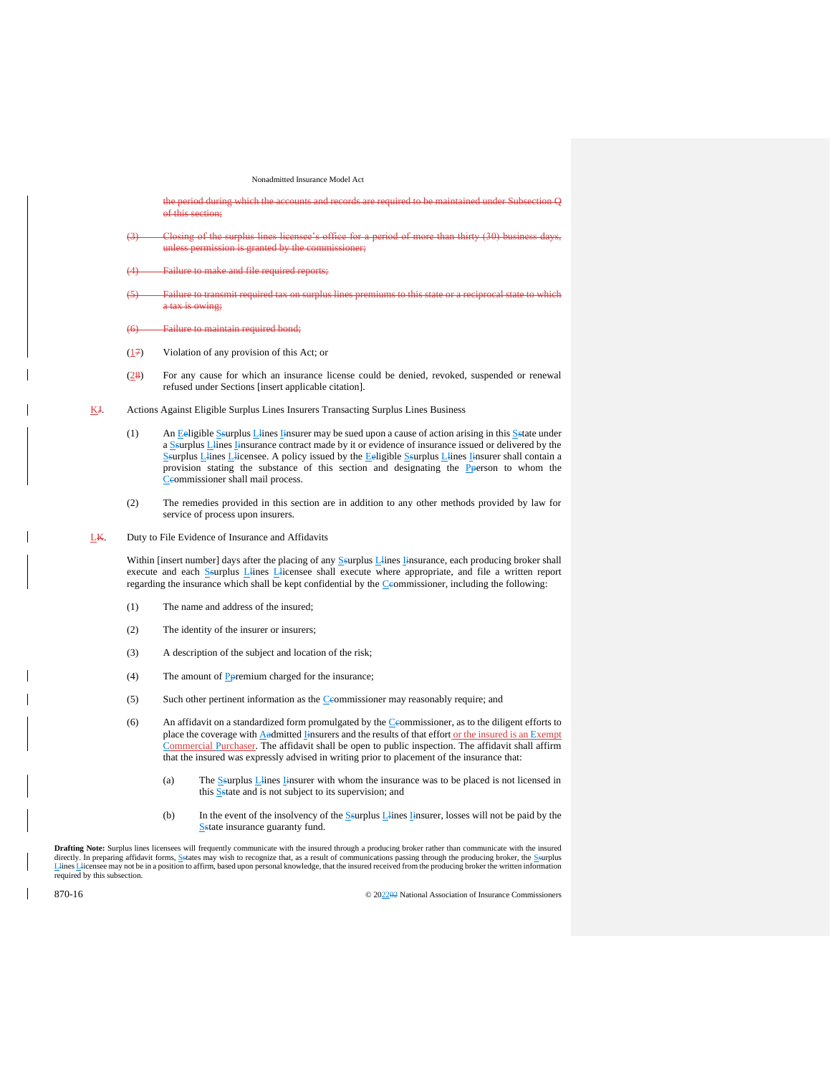the period during which the accounts and records are required to be maintained under Subsection Q of this section;

- Closing of the surplus lines licensee's office for a period of more than thirty (30) business unless permission is granted by the commissioner;
- Failure to make and file required rep
- to transmit required tax on surplus lines premiums to this state or a reciprocal state to which a tax is owing;

(6) Failure to maintain required bond;

- $(17)$  Violation of any provision of this Act; or
- (28) For any cause for which an insurance license could be denied, revoked, suspended or renewal refused under Sections [insert applicable citation].
- KJ. Actions Against Eligible Surplus Lines Insurers Transacting Surplus Lines Business
	- (1) An Eeligible Ssurplus Lines Iinsurer may be sued upon a cause of action arising in this Sstate under a Ssurplus Llines Iinsurance contract made by it or evidence of insurance issued or delivered by the Ssurplus Llines Llicensee. A policy issued by the Eeligible Ssurplus Llines Insurer shall contain a provision stating the substance of this section and designating the Peerson to whom the Ceommissioner shall mail process.
	- (2) The remedies provided in this section are in addition to any other methods provided by law for service of process upon insurers.
- LK. Duty to File Evidence of Insurance and Affidavits

Within [insert number] days after the placing of any Ssurplus Llines Insurance, each producing broker shall execute and each Ssurplus Llines Llicensee shall execute where appropriate, and file a written report regarding the insurance which shall be kept confidential by the Ceommissioner, including the following:

- (1) The name and address of the insured;
- (2) The identity of the insurer or insurers;
- (3) A description of the subject and location of the risk;
- (4) The amount of Ppremium charged for the insurance;
- (5) Such other pertinent information as the Ccommissioner may reasonably require; and
- (6) An affidavit on a standardized form promulgated by the  $C$ eommissioner, as to the diligent efforts to place the coverage with Aadmitted Iinsurers and the results of that effort or the insured is an Exempt Commercial Purchaser. The affidavit shall be open to public inspection. The affidavit shall affirm that the insured was expressly advised in writing prior to placement of the insurance that:
	- (a) The  $S$ surplus Lines Iinsurer with whom the insurance was to be placed is not licensed in this Sstate and is not subject to its supervision; and
	- (b) In the event of the insolvency of the  $S$ surplus Lines Iinsurer, losses will not be paid by the Sstate insurance guaranty fund.

**Drafting Note:** Surplus lines licensees will frequently communicate with the insured through a producing broker rather than communicate with the insured directly. In preparing affidavit forms, Sstates may wish to recognize that, as a result of communications passing through the producing broker, the Ssurplus<br>Lines Liicensee may not be in a position to affirm, based upon pe

870-16 © 202202 National Association of Insurance Commissioners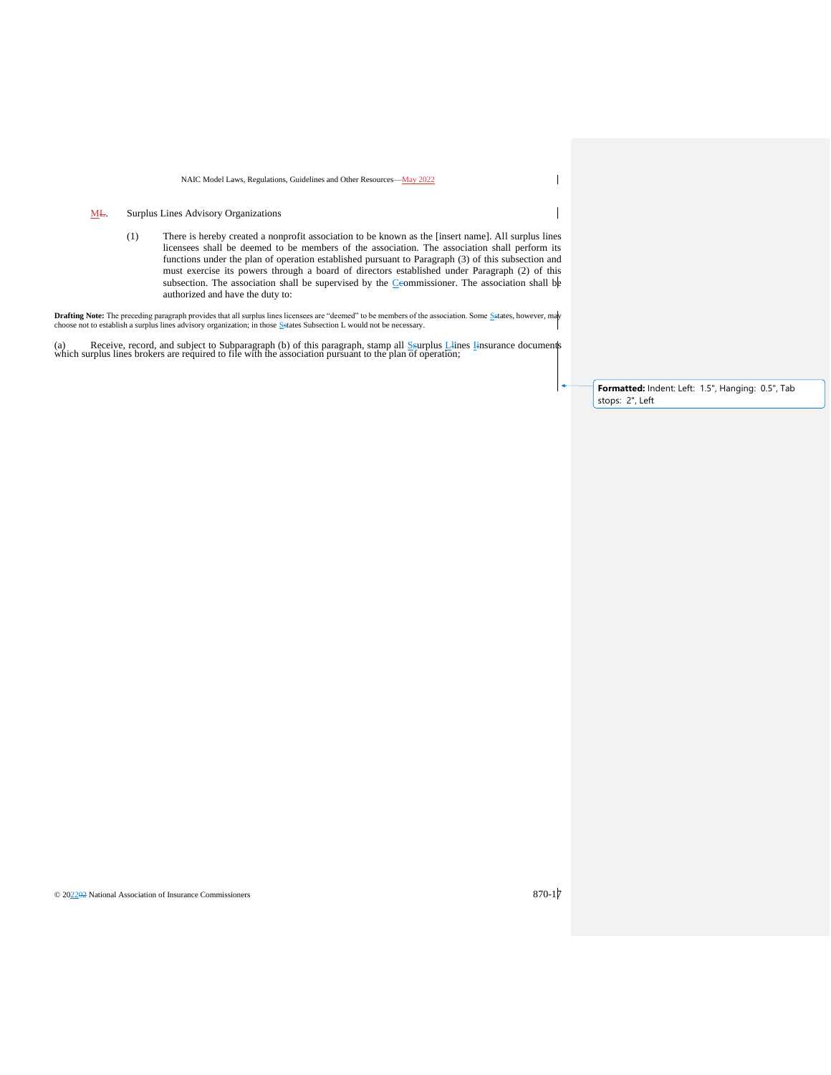## ML. Surplus Lines Advisory Organizations

(1) There is hereby created a nonprofit association to be known as the [insert name]. All surplus lines licensees shall be deemed to be members of the association. The association shall perform its functions under the plan of operation established pursuant to Paragraph (3) of this subsection and must exercise its powers through a board of directors established under Paragraph (2) of this subsection. The association shall be supervised by the Ceommissioner. The association shall be authorized and have the duty to:

**Drafting Note:** The preceding paragraph provides that all surplus lines licensees are "deemed" to be members of the association. Some Sstates, however, may<br>choose not to establish a surplus lines advisory organization; in

(a) Receive, record, and subject to Subparagraph (b) of this paragraph, stamp all Ssurplus Llines Iinsurance documents which surplus lines brokers are required to file with the association pursuant to the plan of operatio

**Formatted:** Indent: Left: 1.5", Hanging: 0.5", Tab stops: 2", Left

 $\overline{\phantom{a}}$ 

 $\overline{\phantom{a}}$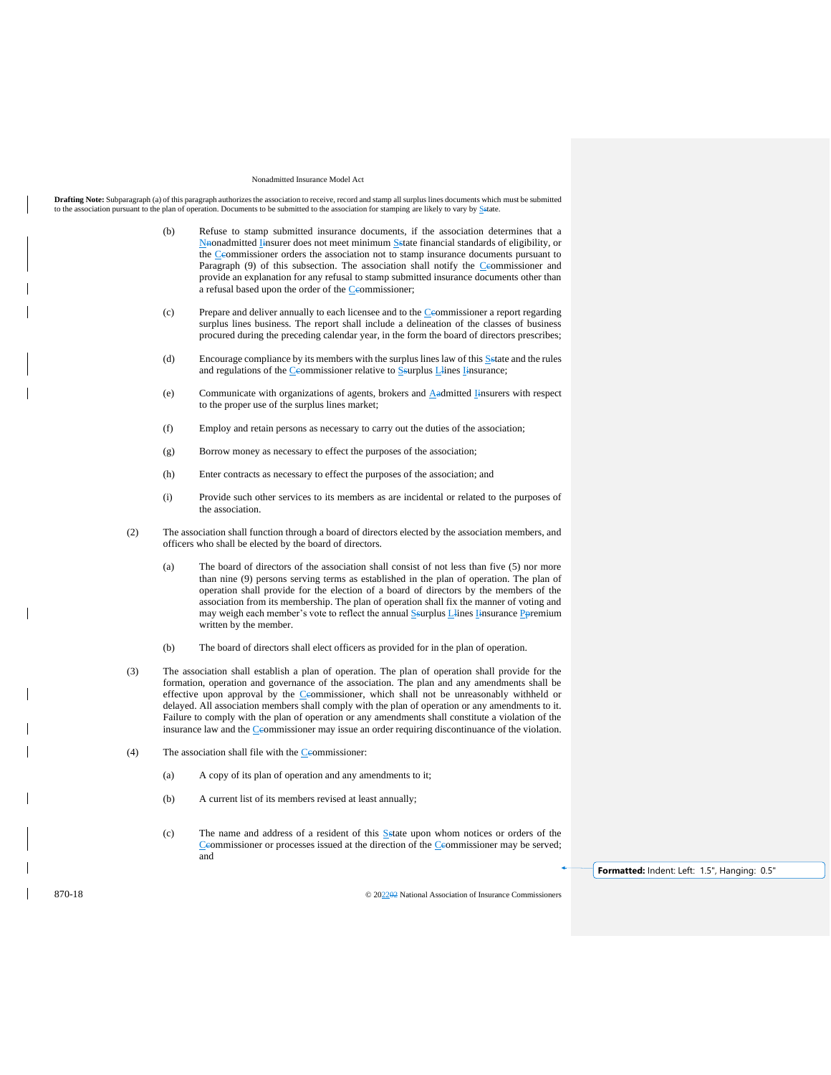**Drafting Note:** Subparagraph (a) of this paragraph authorizes the association to receive, record and stamp all surplus lines documents which must be submitted to the association pursuant to the plan of operation. Documents to be submitted to the association for stamping are likely to vary by Sstate.

- (b) Refuse to stamp submitted insurance documents, if the association determines that a Nnonadmitted Insurer does not meet minimum Sstate financial standards of eligibility, or the Ceommissioner orders the association not to stamp insurance documents pursuant to Paragraph (9) of this subsection. The association shall notify the Ceommissioner and provide an explanation for any refusal to stamp submitted insurance documents other than a refusal based upon the order of the Ceommissioner;
- (c) Prepare and deliver annually to each licensee and to the Ceommissioner a report regarding surplus lines business. The report shall include a delineation of the classes of business procured during the preceding calendar year, in the form the board of directors prescribes;
- (d) Encourage compliance by its members with the surplus lines law of this Sstate and the rules and regulations of the Ceommissioner relative to Ssurplus Llines Insurance;
- (e) Communicate with organizations of agents, brokers and  $\Delta$ admitted Insurers with respect to the proper use of the surplus lines market;
- (f) Employ and retain persons as necessary to carry out the duties of the association;
- (g) Borrow money as necessary to effect the purposes of the association;
- (h) Enter contracts as necessary to effect the purposes of the association; and
- (i) Provide such other services to its members as are incidental or related to the purposes of the association.
- (2) The association shall function through a board of directors elected by the association members, and officers who shall be elected by the board of directors.
	- (a) The board of directors of the association shall consist of not less than five (5) nor more than nine (9) persons serving terms as established in the plan of operation. The plan of operation shall provide for the election of a board of directors by the members of the association from its membership. The plan of operation shall fix the manner of voting and may weigh each member's vote to reflect the annual Ssurplus Lines Insurance Ppremium written by the member.
	- (b) The board of directors shall elect officers as provided for in the plan of operation.
- (3) The association shall establish a plan of operation. The plan of operation shall provide for the formation, operation and governance of the association. The plan and any amendments shall be effective upon approval by the Ceommissioner, which shall not be unreasonably withheld or delayed. All association members shall comply with the plan of operation or any amendments to it. Failure to comply with the plan of operation or any amendments shall constitute a violation of the insurance law and the Ceommissioner may issue an order requiring discontinuance of the violation.
- (4) The association shall file with the  $C$ eommissioner:
	- (a) A copy of its plan of operation and any amendments to it;
	- (b) A current list of its members revised at least annually;
	- (c) The name and address of a resident of this  $S<sub>s</sub>$  tate upon whom notices or orders of the Ceommissioner or processes issued at the direction of the Ceommissioner may be served; and

**Formatted:** Indent: Left: 1.5", Hanging: 0.5"

870-18 © 202202 National Association of Insurance Commissioners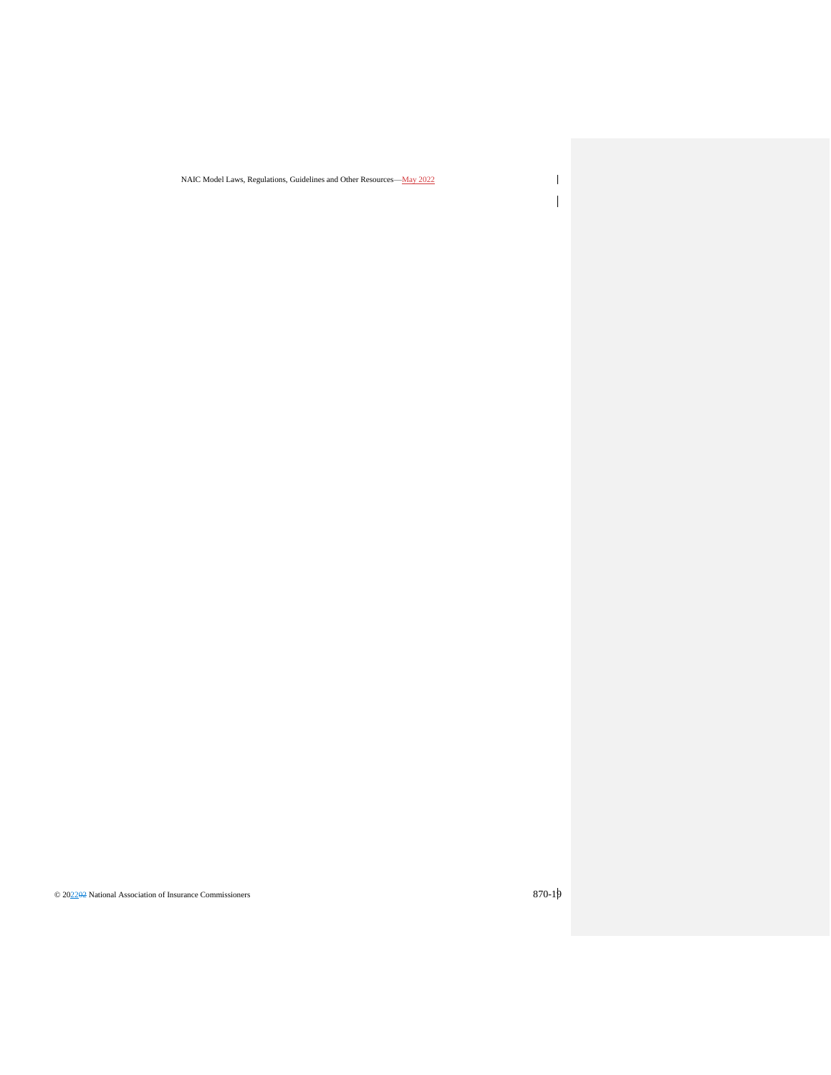© 202202 National Association of Insurance Commissioners 870-19

 $\overline{\phantom{a}}$  $\overline{\phantom{a}}$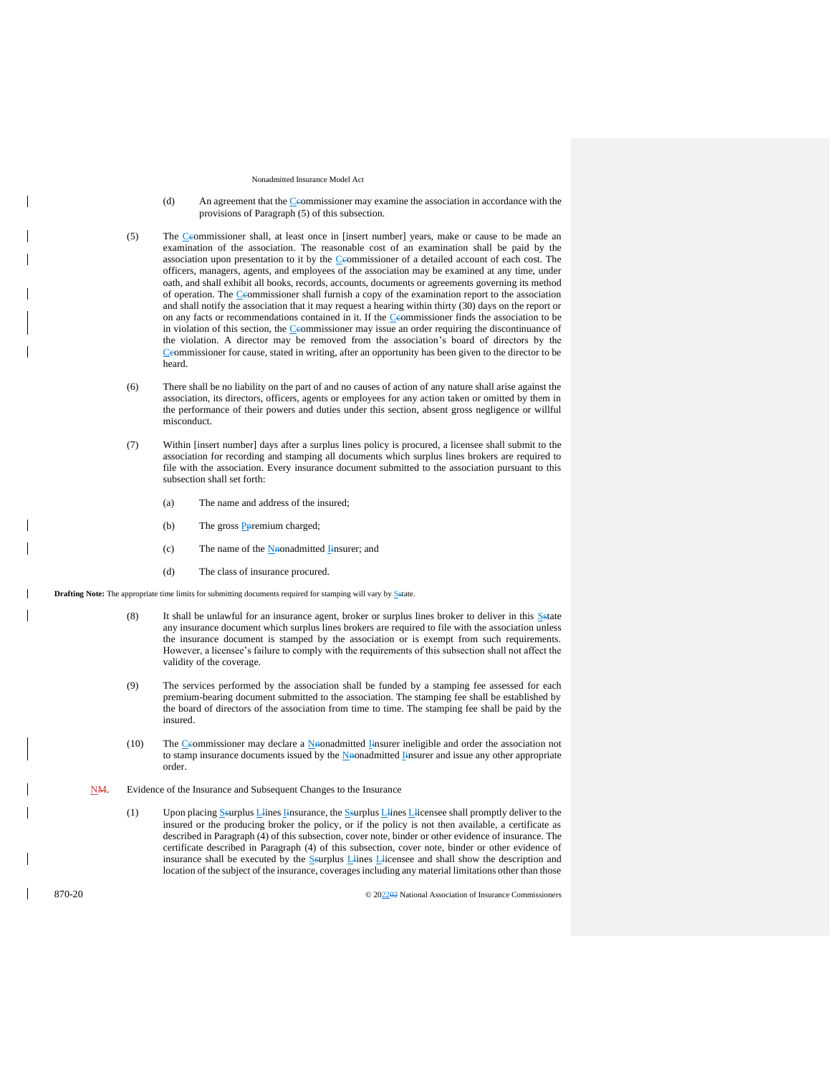- $(d)$  An agreement that the Ceommissioner may examine the association in accordance with the provisions of Paragraph (5) of this subsection.
- (5) The Ceommissioner shall, at least once in [insert number] years, make or cause to be made an examination of the association. The reasonable cost of an examination shall be paid by the association upon presentation to it by the Ceommissioner of a detailed account of each cost. The officers, managers, agents, and employees of the association may be examined at any time, under oath, and shall exhibit all books, records, accounts, documents or agreements governing its method of operation. The Ccommissioner shall furnish a copy of the examination report to the association and shall notify the association that it may request a hearing within thirty (30) days on the report or on any facts or recommendations contained in it. If the Ceommissioner finds the association to be in violation of this section, the Ceommissioner may issue an order requiring the discontinuance of the violation. A director may be removed from the association's board of directors by the Ceommissioner for cause, stated in writing, after an opportunity has been given to the director to be heard.
- (6) There shall be no liability on the part of and no causes of action of any nature shall arise against the association, its directors, officers, agents or employees for any action taken or omitted by them in the performance of their powers and duties under this section, absent gross negligence or willful misconduct.
- (7) Within [insert number] days after a surplus lines policy is procured, a licensee shall submit to the association for recording and stamping all documents which surplus lines brokers are required to file with the association. Every insurance document submitted to the association pursuant to this subsection shall set forth:
	- (a) The name and address of the insured;
	- (b) The gross P<del>p</del>remium charged;
	- (c) The name of the  $N_{\rm H}$ onadmitted *I* insurer; and
	- (d) The class of insurance procured.

**Drafting Note:** The appropriate time limits for submitting documents required for stamping will vary by Sstate.

- (8) It shall be unlawful for an insurance agent, broker or surplus lines broker to deliver in this Sstate any insurance document which surplus lines brokers are required to file with the association unless the insurance document is stamped by the association or is exempt from such requirements. However, a licensee's failure to comply with the requirements of this subsection shall not affect the validity of the coverage.
- (9) The services performed by the association shall be funded by a stamping fee assessed for each premium-bearing document submitted to the association. The stamping fee shall be established by the board of directors of the association from time to time. The stamping fee shall be paid by the insured.
- (10) The Ceommissioner may declare a N<sub>n</sub>onadmitted Insurer ineligible and order the association not to stamp insurance documents issued by the  $N$ -ponadmitted Iinsurer and issue any other appropriate order.
- NM. Evidence of the Insurance and Subsequent Changes to the Insurance
	- (1) Upon placing  $S$ surplus Lines Linsurance, the Ssurplus Lines Lines Licensee shall promptly deliver to the insured or the producing broker the policy, or if the policy is not then available, a certificate as described in Paragraph (4) of this subsection, cover note, binder or other evidence of insurance. The certificate described in Paragraph (4) of this subsection, cover note, binder or other evidence of insurance shall be executed by the Ssurplus Llines Licensee and shall show the description and location of the subject of the insurance, coverages including any material limitations other than those

870-20 © 202202 National Association of Insurance Commissioners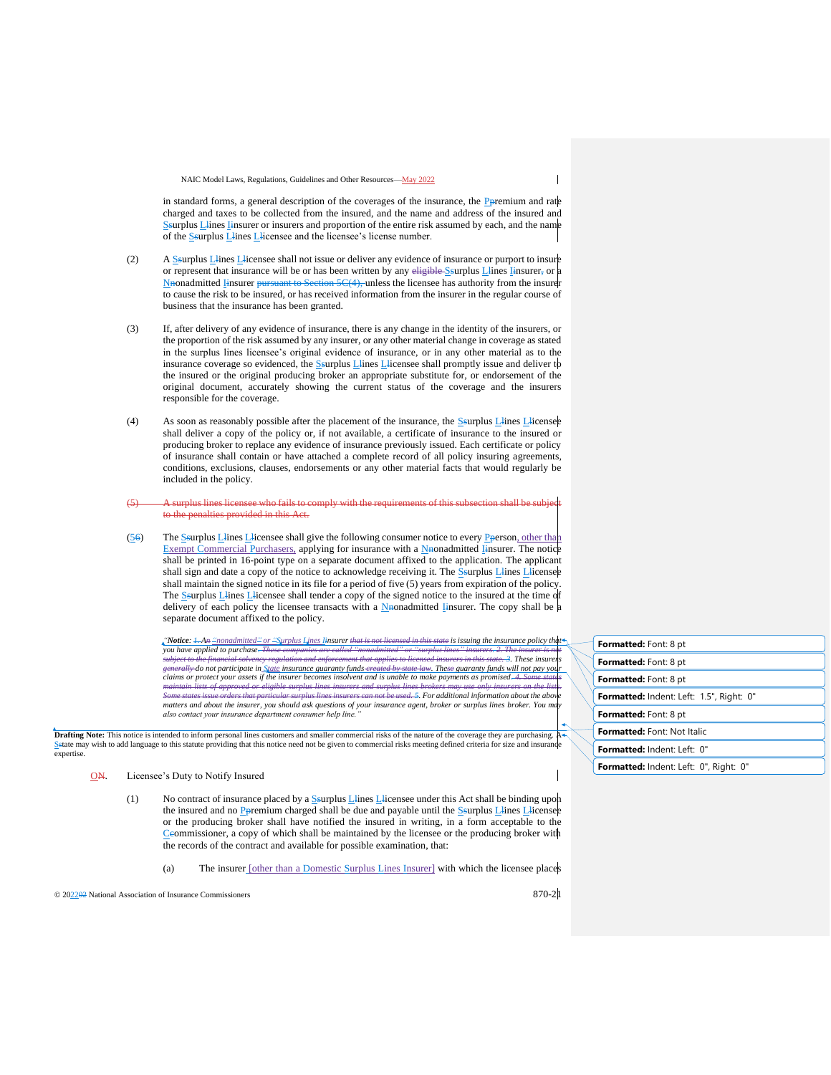in standard forms, a general description of the coverages of the insurance, the Ppremium and rate charged and taxes to be collected from the insured, and the name and address of the insured and Ssurplus Llines Insurer or insurers and proportion of the entire risk assumed by each, and the name of the Ssurplus Llines Llicensee and the licensee's license number.

- (2) A Ssurplus Llines Licensee shall not issue or deliver any evidence of insurance or purport to insure or represent that insurance will be or has been written by any eligible Ssurplus Llines Insurer, or Nnonadmitted Insurer pursuant to Section 5C(4), unless the licensee has authority from the insurer to cause the risk to be insured, or has received information from the insurer in the regular course of business that the insurance has been granted.
- (3) If, after delivery of any evidence of insurance, there is any change in the identity of the insurers, or the proportion of the risk assumed by any insurer, or any other material change in coverage as stated in the surplus lines licensee's original evidence of insurance, or in any other material as to the insurance coverage so evidenced, the  $S$ surplus Lines Licensee shall promptly issue and deliver to the insured or the original producing broker an appropriate substitute for, or endorsement of the original document, accurately showing the current status of the coverage and the insurers responsible for the coverage.
- (4) As soon as reasonably possible after the placement of the insurance, the Ssurplus Llines Llicensee shall deliver a copy of the policy or, if not available, a certificate of insurance to the insured or producing broker to replace any evidence of insurance previously issued. Each certificate or policy of insurance shall contain or have attached a complete record of all policy insuring agreements, conditions, exclusions, clauses, endorsements or any other material facts that would regularly be included in the policy.
- mply with the requirements to the penalties provided in this Act.
- ( $\frac{5}{6}$ ) The S<sub>surplus</sub> L<sub>ines</sub> L<sub>icensee</sub> shall give the following consumer notice to every P<sub>p</sub>erson, other than Exempt Commercial Purchasers, applying for insurance with a Nnonadmitted Insurer. The notice shall be printed in 16-point type on a separate document affixed to the application. The applicant shall sign and date a copy of the notice to acknowledge receiving it. The Ssurplus Llines Llicensee shall maintain the signed notice in its file for a period of five (5) years from expiration of the policy. The Ssurplus Llines Llicensee shall tender a copy of the signed notice to the insured at the time of delivery of each policy the licensee transacts with a N<sub>n</sub>onadmitted Insurer. The copy shall be a separate document affixed to the policy.

*"Notice: 1. An "nonadmitted" or "Surplus Lines Iinsurer that is not licensed in this state is issuing the insurance policy that*  you have applied to purchase<del>. These companies are called "nonadmitted" or "surplus lines" insurers. 2. The insurer is 1</del><br>subject to the financial solvency regulation and enforcement that applies to licensed insurers in th *subject to the financial solvency regulation and enforcement that applies to licensed insurers in this state. 3. These insurers*  <del>generally </del>do not participate in <u>State</u> insurance guaranty funds-<del>created by state law</del>. These guaranty funds will not pay your<br>claims or protect your assets if the insurer becomes insolvent and is unable to make payment *maintain lists of approved or eligible surplus lines insurers and surplus lines brokers may use only insurers on the lists. Some states issue orders that particular surplus lines insurers can not be used. 5. For additional information about the above matters and about the insurer, you should ask questions of your insurance agent, broker or surplus lines broker. You m also contact your insurance department consumer help line."*

**Drafting Note:** This notice is intended to inform personal lines customers and smaller commercial risks of the nature of the coverage they are purchasing. Sstate may wish to add language to this statute providing that this notice need not be given to commercial risks meeting defined criteria for size and insuran expertise.

- ON. Licensee's Duty to Notify Insured
	- (1) No contract of insurance placed by a Ssurplus Lines Lines eurder this Act shall be binding upon the insured and no Ppremium charged shall be due and payable until the Ssurplus Llines Licensee or the producing broker shall have notified the insured in writing, in a form acceptable to the Ceommissioner, a copy of which shall be maintained by the licensee or the producing broker with the records of the contract and available for possible examination, that:
		- (a) The insurer [other than a Domestic Surplus Lines Insurer] with which the licensee places

**Formatted:** Font: 8 pt **Formatted:** Indent: Left: 1.5", Right: 0" **Formatted:** Font: 8 pt **Formatted:** Font: 8 pt **Formatted:** Font: 8 pt **Formatted:** Font: Not Italic **Formatted:** Indent: Left: 0" **Formatted:** Indent: Left: 0", Right: 0"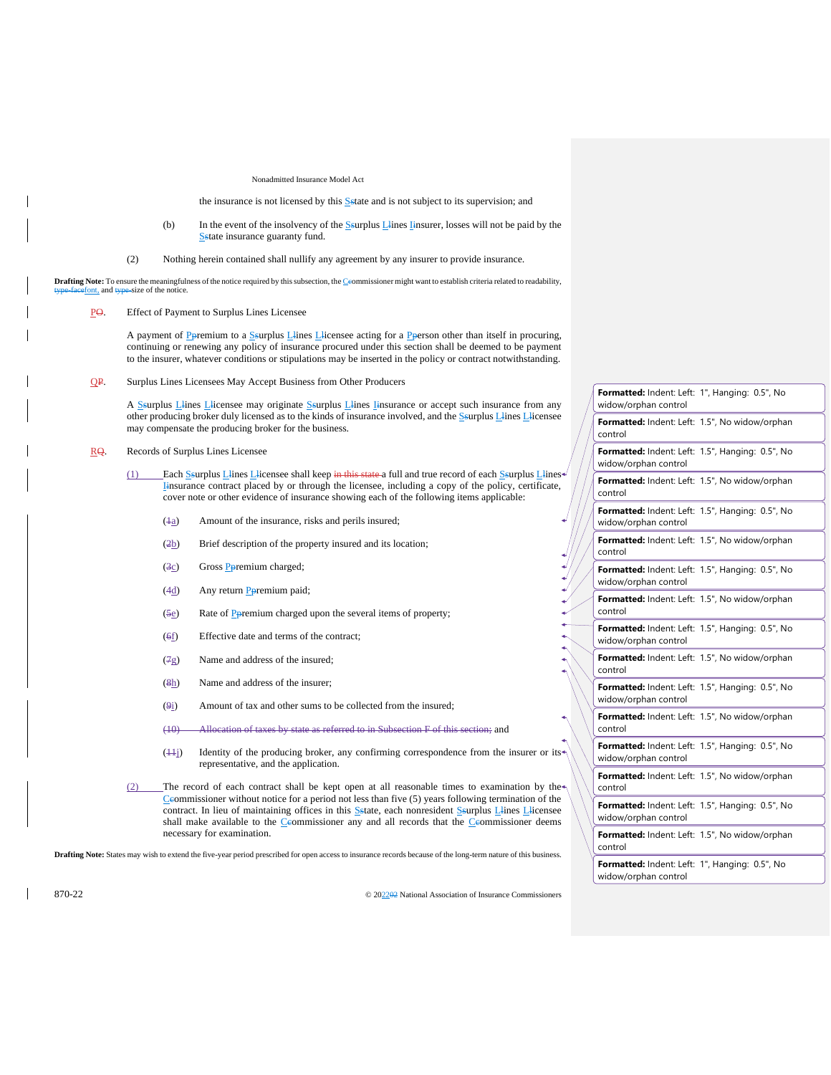the insurance is not licensed by this Sstate and is not subject to its supervision; and

- (b) In the event of the insolvency of the  $S$ -surplus L lines I insurer, losses will not be paid by the Sstate insurance guaranty fund.
- (2) Nothing herein contained shall nullify any agreement by any insurer to provide insurance.

**Drafting Note:** To ensure the meaningfulness of the notice required by this subsection, the *Ceommissioner might want to establish criteria related to readability*, type-facefont, and type-size of the notice.

PO. Effect of Payment to Surplus Lines Licensee

A payment of Ppremium to a Ssurplus Llines Llicensee acting for a Pperson other than itself in procuring, continuing or renewing any policy of insurance procured under this section shall be deemed to be payment to the insurer, whatever conditions or stipulations may be inserted in the policy or contract notwithstanding.

QP. Surplus Lines Licensees May Accept Business from Other Producers

A Ssurplus Llines Llicensee may originate Ssurplus Llines Linsurance or accept such insurance from any other producing broker duly licensed as to the kinds of insurance involved, and the Ssurplus Llines Llicensee may compensate the producing broker for the business.

#### RQ. Records of Surplus Lines Licensee

- (1) Each Ssurplus Llines Llicensee shall keep in this state a full and true record of each Ssurplus Llines Iinsurance contract placed by or through the licensee, including a copy of the policy, certificate, cover note or other evidence of insurance showing each of the following items applicable:
	- $(1a)$  Amount of the insurance, risks and perils insured;
	- (2b) Brief description of the property insured and its location;
	- (3c) Gross Ppremium charged;
	- $(4\underline{d})$  Any return **P**premium paid;
	- $(5e)$  Rate of P premium charged upon the several items of property;
	- (6f) Effective date and terms of the contract;
	- (7g) Name and address of the insured;
	- $(8h)$  Name and address of the insurer;
	- (9i) Amount of tax and other sums to be collected from the insured;
	- (10) Allocation of taxes by state as referred to in Subsection F of this section; and
	- $(11)$  Identity of the producing broker, any confirming correspondence from the insurer or its<sup>\*</sup> representative, and the application.

(2) The record of each contract shall be kept open at all reasonable times to examination by the Ceommissioner without notice for a period not less than five  $(5)$  years following termination of the contract. In lieu of maintaining offices in this Sstate, each nonresident Ssurplus Llines Llicensee shall make available to the  $C$ eommissioner any and all records that the  $C$ eommissioner deems necessary for examination.

**Drafting Note:** States may wish to extend the five-year period prescribed for open access to insurance records because of the long-term nature of this business.

| Formatted: Indent: Left: 1", Hanging: 0.5", No<br>widow/orphan control   |
|--------------------------------------------------------------------------|
| Formatted: Indent: Left: 1.5", No widow/orphan<br>control                |
| Formatted: Indent: Left: 1.5", Hanging: 0.5", No<br>widow/orphan control |
| Formatted: Indent: Left: 1.5", No widow/orphan<br>control                |
| Formatted: Indent: Left: 1.5", Hanging: 0.5", No<br>widow/orphan control |
| Formatted: Indent: Left: 1.5", No widow/orphan<br>control                |
| Formatted: Indent: Left: 1.5", Hanging: 0.5", No<br>widow/orphan control |
| Formatted: Indent: Left: 1.5", No widow/orphan<br>control                |
| Formatted: Indent: Left: 1.5", Hanging: 0.5", No<br>widow/orphan control |
| Formatted: Indent: Left: 1.5", No widow/orphan<br>control                |
| Formatted: Indent: Left: 1.5", Hanging: 0.5", No<br>widow/orphan control |
| Formatted: Indent: Left: 1.5", No widow/orphan<br>control                |
| Formatted: Indent: Left: 1.5", Hanging: 0.5", No<br>widow/orphan control |
| Formatted: Indent: Left: 1.5", No widow/orphan<br>control                |
| Formatted: Indent: Left: 1.5", Hanging: 0.5", No<br>widow/orphan control |
| Formatted: Indent: Left: 1.5", No widow/orphan<br>control                |
| Formatted: Indent: Left: 1", Hanging: 0.5", No                           |
| widow/orphan control                                                     |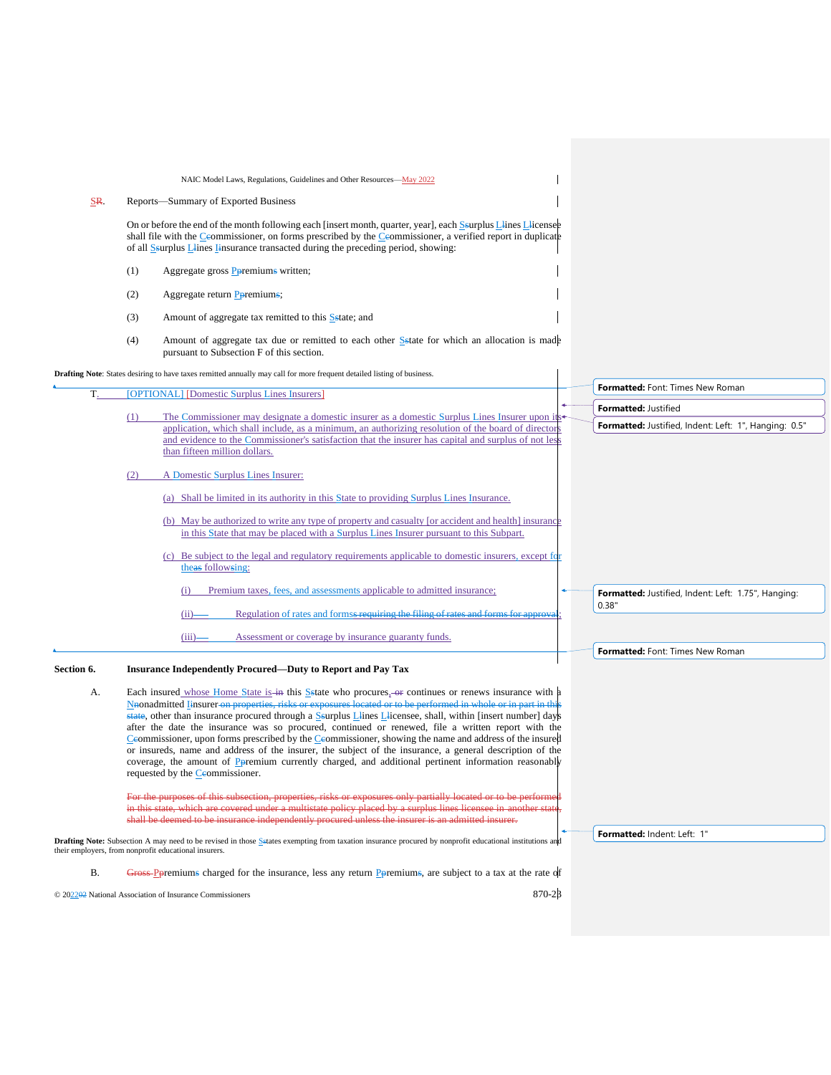SR. Reports—Summary of Exported Business

On or before the end of the month following each [insert month, quarter, year], each Ssurplus Llines Llicensee shall file with the Ceommissioner, on forms prescribed by the Ceommissioner, a verified report in duplicate of all Ssurplus Llines Insurance transacted during the preceding period, showing:

- (1) Aggregate gross  $P$ premiums written;
- (2) Aggregate return  $P<sub>p</sub>$  premiums;
- (3) Amount of aggregate tax remitted to this  $S<sub>s</sub>$  state; and
- (4) Amount of aggregate tax due or remitted to each other  $S$  state for which an allocation is made pursuant to Subsection F of this section.

**Drafting Note**: States desiring to have taxes remitted annually may call for more frequent detailed listing of business.

| T.         | [OPTIONAL] [Domestic Surplus Lines Insurers]                                                                                                                                                                                                                                                                                                                                                                                                                                                                                                                                                                                                                                                                                                                                                                                                                                                                                                                                                                                                                                                                                                         | <b>Formatted: Font: Times New Roman</b>                      |
|------------|------------------------------------------------------------------------------------------------------------------------------------------------------------------------------------------------------------------------------------------------------------------------------------------------------------------------------------------------------------------------------------------------------------------------------------------------------------------------------------------------------------------------------------------------------------------------------------------------------------------------------------------------------------------------------------------------------------------------------------------------------------------------------------------------------------------------------------------------------------------------------------------------------------------------------------------------------------------------------------------------------------------------------------------------------------------------------------------------------------------------------------------------------|--------------------------------------------------------------|
|            |                                                                                                                                                                                                                                                                                                                                                                                                                                                                                                                                                                                                                                                                                                                                                                                                                                                                                                                                                                                                                                                                                                                                                      | Formatted: Justified                                         |
|            | The Commissioner may designate a domestic insurer as a domestic Surplus Lines Insurer upon its<br>(1)<br>application, which shall include, as a minimum, an authorizing resolution of the board of directors<br>and evidence to the Commissioner's satisfaction that the insurer has capital and surplus of not less<br>than fifteen million dollars.                                                                                                                                                                                                                                                                                                                                                                                                                                                                                                                                                                                                                                                                                                                                                                                                | Formatted: Justified, Indent: Left: 1", Hanging: 0.5"        |
|            | A Domestic Surplus Lines Insurer:<br>(2)<br>(a) Shall be limited in its authority in this State to providing Surplus Lines Insurance.                                                                                                                                                                                                                                                                                                                                                                                                                                                                                                                                                                                                                                                                                                                                                                                                                                                                                                                                                                                                                |                                                              |
|            | (b) May be authorized to write any type of property and casualty [or accident and health] insurance<br>in this State that may be placed with a Surplus Lines Insurer pursuant to this Subpart.<br>(c) Be subject to the legal and regulatory requirements applicable to domestic insurers, except for<br>theas followsing:                                                                                                                                                                                                                                                                                                                                                                                                                                                                                                                                                                                                                                                                                                                                                                                                                           |                                                              |
|            | Premium taxes, fees, and assessments applicable to admitted insurance;<br>Regulation of rates and forms <del>s requiring the filing of rates and forms for approval</del><br>(i)<br>Assessment or coverage by insurance guaranty funds.<br>(iii)                                                                                                                                                                                                                                                                                                                                                                                                                                                                                                                                                                                                                                                                                                                                                                                                                                                                                                     | Formatted: Justified, Indent: Left: 1.75", Hanging:<br>0.38" |
| Section 6. | <b>Insurance Independently Procured—Duty to Report and Pay Tax</b>                                                                                                                                                                                                                                                                                                                                                                                                                                                                                                                                                                                                                                                                                                                                                                                                                                                                                                                                                                                                                                                                                   | Formatted: Font: Times New Roman                             |
| А.         | Each insured whose Home State is in this State who procures, or continues or renews insurance with a<br>Nnonadmitted Insurer on properties, risks or exposures located or to be performed in whole or in part in this<br>state, other than insurance procured through a Ssurplus Llines Llicensee, shall, within [insert number] days<br>after the date the insurance was so procured, continued or renewed, file a written report with the<br>Ceommissioner, upon forms prescribed by the Ceommissioner, showing the name and address of the insured<br>or insureds, name and address of the insurer, the subject of the insurance, a general description of the<br>coverage, the amount of Ppremium currently charged, and additional pertinent information reasonably<br>requested by the Ceommissioner.<br>For the purposes of this subsection, properties, risks or exposures only partially located or to be performed<br>in this state, which are covered under a multistate policy placed by a surplus lines licensee in another state,<br>shall be deemed to be insurance independently procured unless the insurer is an admitted insurer. |                                                              |
|            | Drafting Note: Subsection A may need to be revised in those Sstates exempting from taxation insurance procured by nonprofit educational institutions and<br>their employers, from nonprofit educational insurers.                                                                                                                                                                                                                                                                                                                                                                                                                                                                                                                                                                                                                                                                                                                                                                                                                                                                                                                                    | Formatted: Indent: Left: 1"                                  |
| Β.         | Gross-Ppremiums charged for the insurance, less any return Ppremiums, are subject to a tax at the rate of                                                                                                                                                                                                                                                                                                                                                                                                                                                                                                                                                                                                                                                                                                                                                                                                                                                                                                                                                                                                                                            |                                                              |

© 202202 National Association of Insurance Commissioners 870-23

 $\overline{\phantom{a}}$  $\mathbf{I}$ 

 $\mathbf{I}$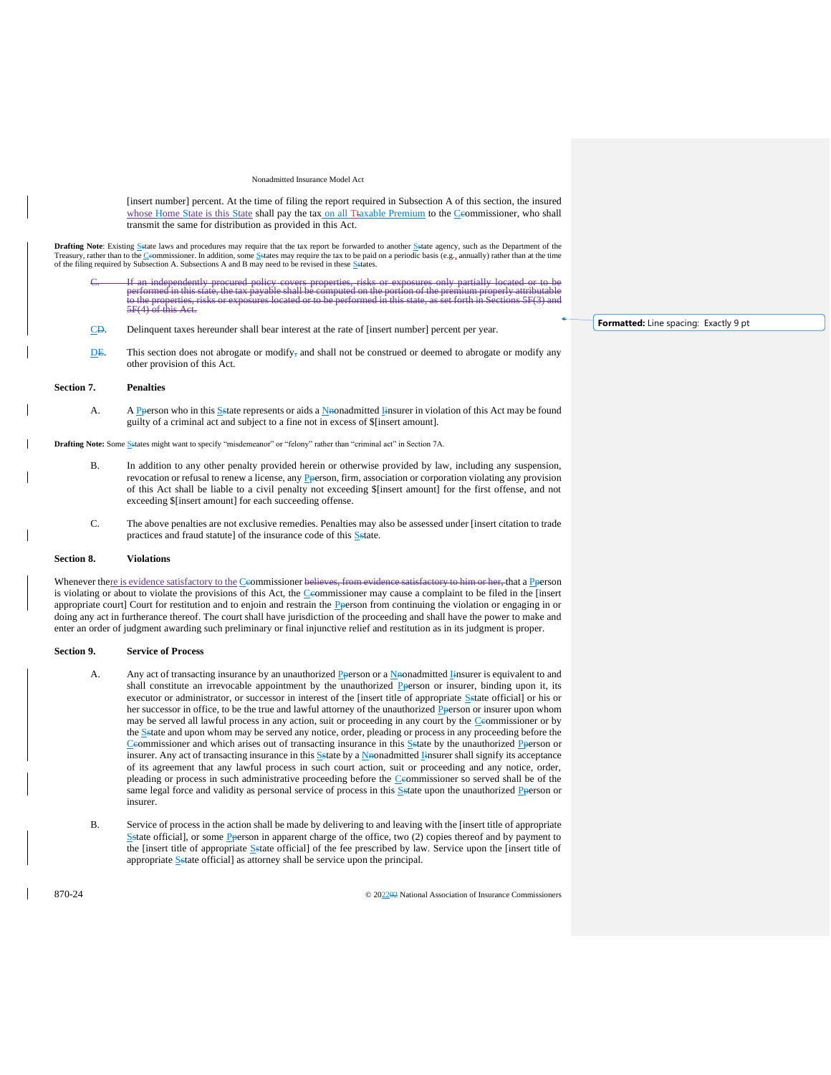[insert number] percent. At the time of filing the report required in Subsection A of this section, the insured whose Home State is this State shall pay the tax on all Ttaxable Premium to the Ceommissioner, who shall transmit the same for distribution as provided in this Act.

**Drafting Note**: Existing Setate laws and procedures may require that the tax report be forwarded to another Sstate agency, such as the Department of the Treasury, rather than to the Ceommissioner. In addition, some Sstates may require the tax to be paid on a periodic basis (e.g., annually) rather than at the time of the filing required by Subsection A. Subsections A and B may need to be revised in these Sstates.

- C. If an independently procured policy covers properties, risks or exposures only partially located or to be performed in this state, the tax payable shall be computed on the portion of the premium properly attributable to
- CD. Delinquent taxes hereunder shall bear interest at the rate of [insert number] percent per year.
- DE. This section does not abrogate or modify, and shall not be construed or deemed to abrogate or modify any other provision of this Act.

### **Section 7. Penalties**

A. A Pperson who in this Sstate represents or aids a N<sub>n</sub>onadmitted Insurer in violation of this Act may be found guilty of a criminal act and subject to a fine not in excess of \$[insert amount].

**Drafting Note:** Some Sstates might want to specify "misdemeanor" or "felony" rather than "criminal act" in Section 7A.

- B. In addition to any other penalty provided herein or otherwise provided by law, including any suspension, revocation or refusal to renew a license, any Pperson, firm, association or corporation violating any provision of this Act shall be liable to a civil penalty not exceeding \$[insert amount] for the first offense, and not exceeding \$[insert amount] for each succeeding offense.
- C. The above penalties are not exclusive remedies. Penalties may also be assessed under [insert citation to trade practices and fraud statute] of the insurance code of this Sstate.

### **Section 8. Violations**

Whenever there is evidence satisfactory to the Ceommissioner believes, from evidence satisfactory to him or her, that a Pperson is violating or about to violate the provisions of this Act, the Ceommissioner may cause a complaint to be filed in the [insert appropriate court] Court for restitution and to enjoin and restrain the Pperson from continuing the violation or engaging in or doing any act in furtherance thereof. The court shall have jurisdiction of the proceeding and shall have the power to make and enter an order of judgment awarding such preliminary or final injunctive relief and restitution as in its judgment is proper.

### **Section 9. Service of Process**

- A. Any act of transacting insurance by an unauthorized Pperson or a Neonadmitted Iinsurer is equivalent to and shall constitute an irrevocable appointment by the unauthorized Pperson or insurer, binding upon it, its executor or administrator, or successor in interest of the [insert title of appropriate Sstate official] or his or her successor in office, to be the true and lawful attorney of the unauthorized Pperson or insurer upon whom may be served all lawful process in any action, suit or proceeding in any court by the Ceommissioner or by the Sstate and upon whom may be served any notice, order, pleading or process in any proceeding before the Ceommissioner and which arises out of transacting insurance in this Sstate by the unauthorized Pperson or insurer. Any act of transacting insurance in this Sstate by a Nnonadmitted Insurer shall signify its acceptance of its agreement that any lawful process in such court action, suit or proceeding and any notice, order, pleading or process in such administrative proceeding before the Ceommissioner so served shall be of the same legal force and validity as personal service of process in this Sstate upon the unauthorized Pperson or insurer.
- B. Service of process in the action shall be made by delivering to and leaving with the [insert title of appropriate Sstate official], or some P person in apparent charge of the office, two (2) copies thereof and by payment to the [insert title of appropriate Sstate official] of the fee prescribed by law. Service upon the [insert title of appropriate Sstate official] as attorney shall be service upon the principal.

**Formatted:** Line spacing: Exactly 9 pt

870-24 © 202202 National Association of Insurance Commissioners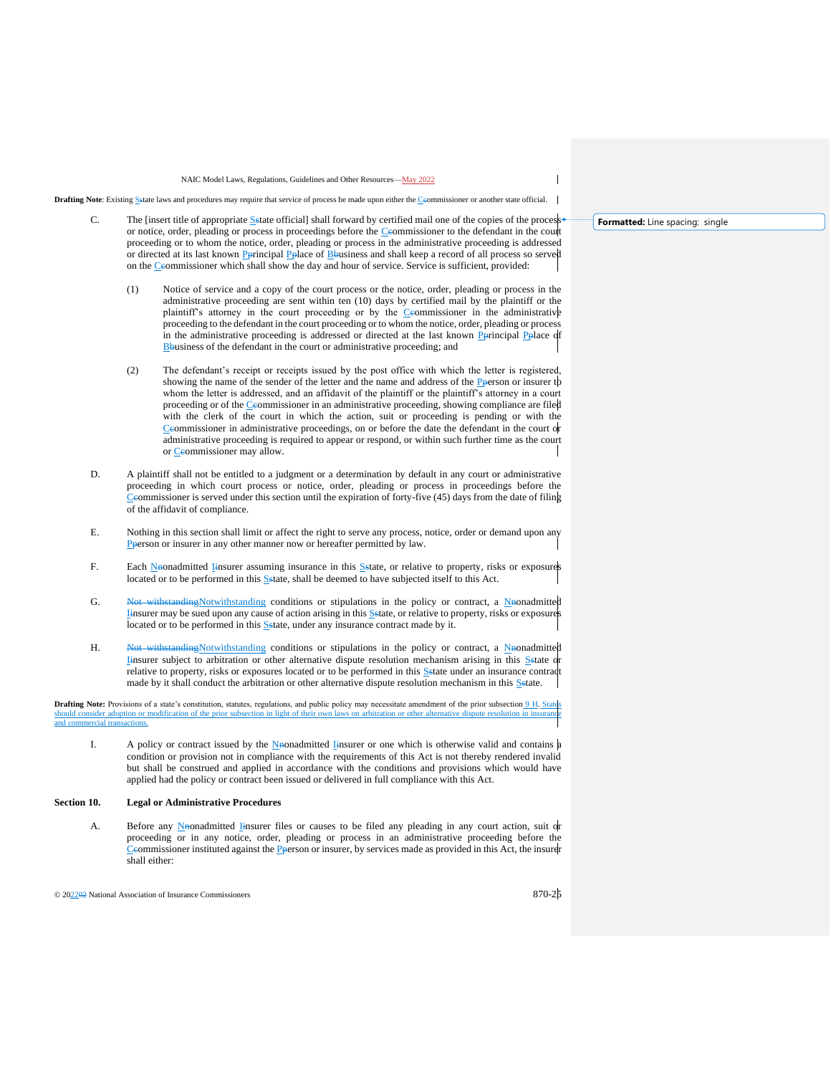Drafting Note: Existing Sstate laws and procedures may require that service of process be made upon either the Ceommissioner or another state official.

- C. The [insert title of appropriate Sstate official] shall forward by certified mail one of the copies of the process or notice, order, pleading or process in proceedings before the Ceommissioner to the defendant in the court proceeding or to whom the notice, order, pleading or process in the administrative proceeding is addressed or directed at its last known Pprincipal Pplace of Bbusiness and shall keep a record of all process so served on the Ceommissioner which shall show the day and hour of service. Service is sufficient, provided:
	- (1) Notice of service and a copy of the court process or the notice, order, pleading or process in the administrative proceeding are sent within ten (10) days by certified mail by the plaintiff or the plaintiff's attorney in the court proceeding or by the Ceommissioner in the administrative proceeding to the defendant in the court proceeding or to whom the notice, order, pleading or process in the administrative proceeding is addressed or directed at the last known Pprincipal Pplace of Bbusiness of the defendant in the court or administrative proceeding; and
	- (2) The defendant's receipt or receipts issued by the post office with which the letter is registered, showing the name of the sender of the letter and the name and address of the Person or insurer to whom the letter is addressed, and an affidavit of the plaintiff or the plaintiff's attorney in a court proceeding or of the Ceommissioner in an administrative proceeding, showing compliance are filed with the clerk of the court in which the action, suit or proceeding is pending or with the Ceommissioner in administrative proceedings, on or before the date the defendant in the court or administrative proceeding is required to appear or respond, or within such further time as the court or Ceommissioner may allow.
- D. A plaintiff shall not be entitled to a judgment or a determination by default in any court or administrative proceeding in which court process or notice, order, pleading or process in proceedings before the Ceommissioner is served under this section until the expiration of forty-five  $(45)$  days from the date of filing of the affidavit of compliance.
- E. Nothing in this section shall limit or affect the right to serve any process, notice, order or demand upon any Pperson or insurer in any other manner now or hereafter permitted by law.
- F. Each Nnonadmitted Iinsurer assuming insurance in this Sstate, or relative to property, risks or exposures located or to be performed in this Sstate, shall be deemed to have subjected itself to this Act.
- G. Not withstanding Notwithstanding conditions or stipulations in the policy or contract, a Nnonadmitted Iinsurer may be sued upon any cause of action arising in this Sstate, or relative to property, risks or exposures located or to be performed in this S<sub>state</sub>, under any insurance contract made by it.
- H. Not withstandingNotwithstanding conditions or stipulations in the policy or contract, a Nnonadmitted Iinsurer subject to arbitration or other alternative dispute resolution mechanism arising in this Sstate or relative to property, risks or exposures located or to be performed in this Sstate under an insurance contract made by it shall conduct the arbitration or other alternative dispute resolution mechanism in this Sstate.

**Drafting Note:** Provisions of a state's constitution, statutes, regulations, and public policy may necessitate amendment of the prior subsection 9 H. Stateshould consider adoption or modification of the prior subsection i show adoption or modification of the prior subsection in light of their own laws on arbitration or other alternative and commercial transactions.

I. A policy or contract issued by the N<sub>n</sub>onadmitted *Insurer* or one which is otherwise valid and contains a condition or provision not in compliance with the requirements of this Act is not thereby rendered invalid but shall be construed and applied in accordance with the conditions and provisions which would have applied had the policy or contract been issued or delivered in full compliance with this Act.

## **Section 10. Legal or Administrative Procedures**

A. Before any N<sub>H</sub>onadmitted Linsurer files or causes to be filed any pleading in any court action, suit or proceeding or in any notice, order, pleading or process in an administrative proceeding before the Ceommissioner instituted against the Pperson or insurer, by services made as provided in this Act, the insurer shall either:

© 202202 National Association of Insurance Commissioners 870-25

**Formatted:** Line spacing: single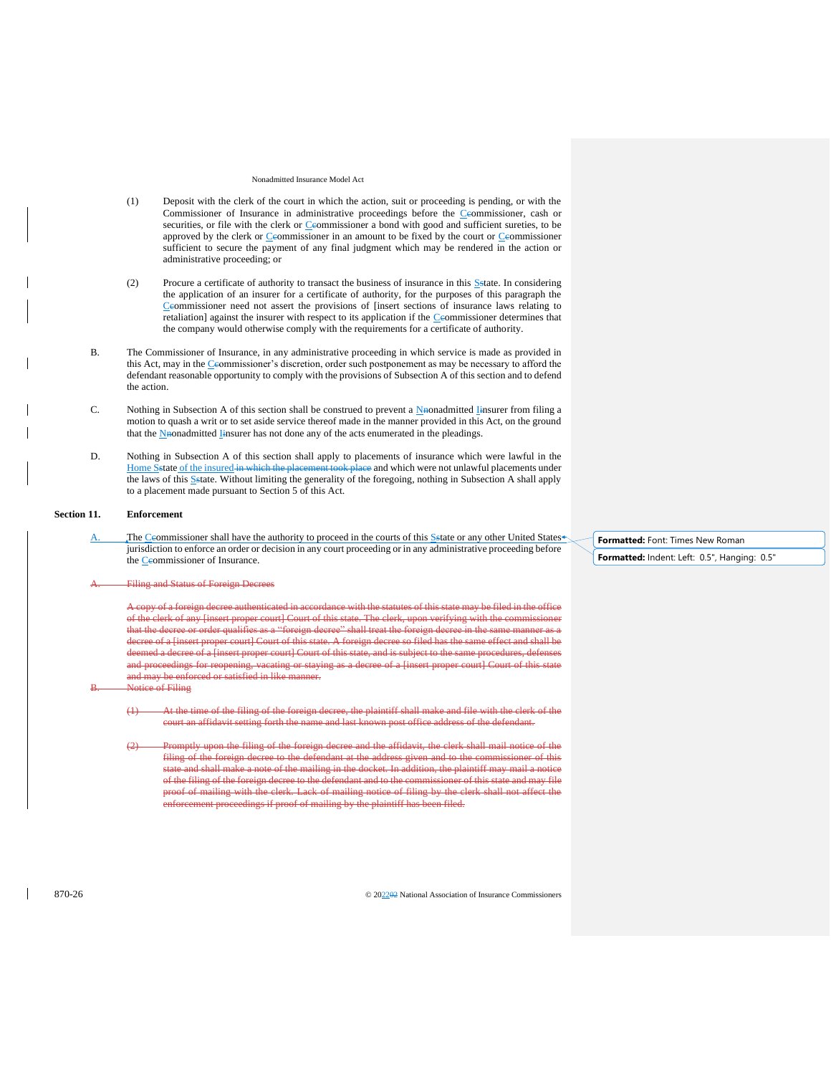- (1) Deposit with the clerk of the court in which the action, suit or proceeding is pending, or with the Commissioner of Insurance in administrative proceedings before the Ceommissioner, cash or securities, or file with the clerk or Ceommissioner a bond with good and sufficient sureties, to be approved by the clerk or Ceommissioner in an amount to be fixed by the court or Ceommissioner sufficient to secure the payment of any final judgment which may be rendered in the action or administrative proceeding; or
- (2) Procure a certificate of authority to transact the business of insurance in this  $S<sub>5</sub>$ state. In considering the application of an insurer for a certificate of authority, for the purposes of this paragraph the Ceommissioner need not assert the provisions of [insert sections of insurance laws relating to retaliation] against the insurer with respect to its application if the Ceommissioner determines that the company would otherwise comply with the requirements for a certificate of authority.
- B. The Commissioner of Insurance, in any administrative proceeding in which service is made as provided in this Act, may in the Ceommissioner's discretion, order such postponement as may be necessary to afford the defendant reasonable opportunity to comply with the provisions of Subsection A of this section and to defend the action.
- C. Nothing in Subsection A of this section shall be construed to prevent a Nnonadmitted Insurer from filing a motion to quash a writ or to set aside service thereof made in the manner provided in this Act, on the ground that the N<sub>n</sub>onadmitted Insurer has not done any of the acts enumerated in the pleadings.
- D. Nothing in Subsection A of this section shall apply to placements of insurance which were lawful in the Home Sstate of the insured in which the placement took place and which were not unlawful placements under the laws of this Sstate. Without limiting the generality of the foregoing, nothing in Subsection A shall apply to a placement made pursuant to Section 5 of this Act.

## **Section 11. Enforcement**

- The Ceommissioner shall have the authority to proceed in the courts of this Sstate or any other United States jurisdiction to enforce an order or decision in any court proceeding or in any administrative proceeding before the Ceommissioner of Insurance.
- Filing and Status of Foreign Decrees

A copy of a foreign decree authenticated in accordance with the statutes of this state may be filed in the office of the clerk of any [insert proper court] Court of this state. The clerk, upon verifying with the commissioner that the decree or order qualifies as a "foreign decree" shall treat the foreign decree in the same manner as a decree of a [insert proper court] Court of this state. A foreign decree so filed has the same effect and shall be med a decree of a [insert proper court] Court of this state, and is subject to the same procedures, defenses and proceedings for reopening, vacating or staying as a decree of a [insert proper court] Court of this state and may be enforced or satisfied in like manner.

Notice of Filing

- At the time of the filing of the foreign decree, the plaintiff shall make and file with the clerk of the court an affidavit setting forth the name and last known post office address of the defendant.
- Promptly upon the filing of the foreign decree and the affidavit, the clerk shall mail notice of the filing of the foreign decree to the defendant at the address given and to the commissioner of this and shall make a note of the mailing in the docket. In addition, the plaintiff may mail a notice of the filing of the foreign decree to the defendant and to the commissioner of this state and may file proof of mailing with the clerk. Lack of mailing notice of filing by the clerk shall not affect the enforcement proceedings if proof of mailing by the plaintiff has been filed.

**Formatted:** Indent: Left: 0.5", Hanging: 0.5" **Formatted:** Font: Times New Roman

870-26 © 202202 National Association of Insurance Commissioners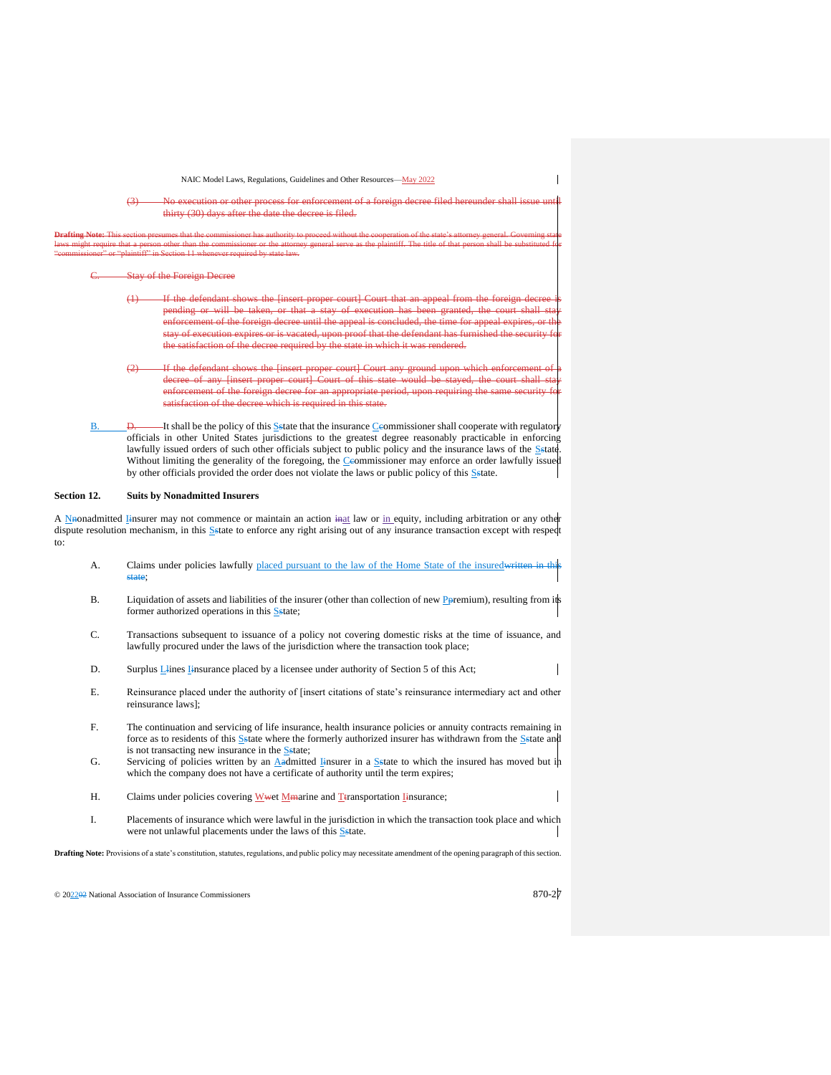ution or other process for enforcement of a foreign decree filed here thirty (30) days after the date the decree is filed.

**Drafting Note:** This section presumes that the commissioner has authority to proceed without the cooperation of the state's attorney general. Governing state laws might require that a person other than the commissioner or the attorney general serve as the plaintiff. The title of that person shall be substituted for "commissioner" or "plaintiff" in Section 11 whenever required by state law.

**Stay of the Foreign Dec** 

- If the defendant shows the linsert properties pending or will be taken, or that a stay of execution has been granted, the court shall stay enforcement of the foreign decree until the appeal is concluded, the time for appeal expires, or the vacated, upon proof that the defendant the satisfaction of the decree required by the state in which it was rendered.
- (2) If the defendant shows the [insert proper court] Court any ground upon which enforcement of a court]  $\Gamma$ ourt of this state would be stayed, the court shall enforcement of the foreign decree for an appropriate period satisfaction of the decree which is required in this state.
- $B.$  D. It shall be the policy of this  $S$ state that the insurance Commissioner shall cooperate with regulatory officials in other United States jurisdictions to the greatest degree reasonably practicable in enforcing lawfully issued orders of such other officials subject to public policy and the insurance laws of the Sstate Without limiting the generality of the foregoing, the *C*eommissioner may enforce an order lawfully issued by other officials provided the order does not violate the laws or public policy of this Sstate.

## **Section 12. Suits by Nonadmitted Insurers**

A Nnonadmitted Iinsurer may not commence or maintain an action inat law or in equity, including arbitration or any other dispute resolution mechanism, in this Sstate to enforce any right arising out of any insurance transaction except with respect to:

- A. Claims under policies lawfully placed pursuant to the law of the Home State of the insuredwritten in this state;
- B. Liquidation of assets and liabilities of the insurer (other than collection of new Ppremium), resulting from its former authorized operations in this Sstate;
- C. Transactions subsequent to issuance of a policy not covering domestic risks at the time of issuance, and lawfully procured under the laws of the jurisdiction where the transaction took place;
- D. Surplus Lines Insurance placed by a licensee under authority of Section 5 of this Act;
- E. Reinsurance placed under the authority of [insert citations of state's reinsurance intermediary act and other reinsurance laws];
- F. The continuation and servicing of life insurance, health insurance policies or annuity contracts remaining in force as to residents of this Sstate where the formerly authorized insurer has withdrawn from the Sstate and is not transacting new insurance in the **S**state;
- G. Servicing of policies written by an  $\triangle$ admitted Linsurer in a  $\triangle$ state to which the insured has moved but in which the company does not have a certificate of authority until the term expires;
- H. Claims under policies covering Wwet Mmarine and Ttransportation Insurance;
- I. Placements of insurance which were lawful in the jurisdiction in which the transaction took place and which were not unlawful placements under the laws of this Sstate.

**Drafting Note:** Provisions of a state's constitution, statutes, regulations, and public policy may necessitate amendment of the opening paragraph of this section.

© 202202 National Association of Insurance Commissioners 870-27

l